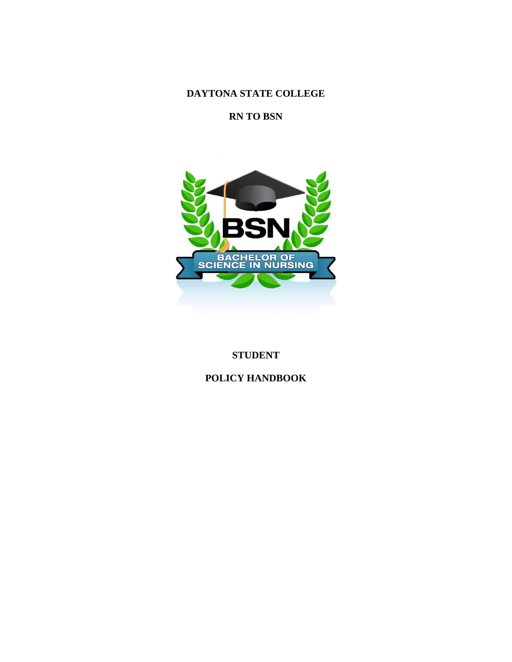**DAYTONA STATE COLLEGE**

**RN TO BSN**



# **STUDENT**

# **POLICY HANDBOOK**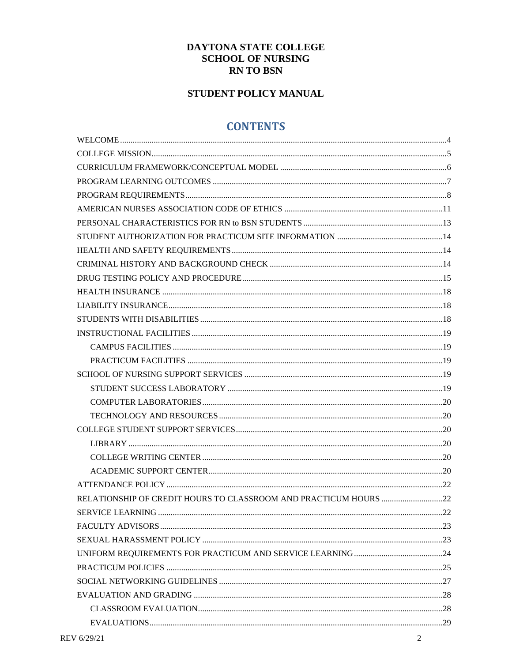# DAYTONA STATE COLLEGE **SCHOOL OF NURSING RN TO BSN**

# STUDENT POLICY MANUAL

# **CONTENTS**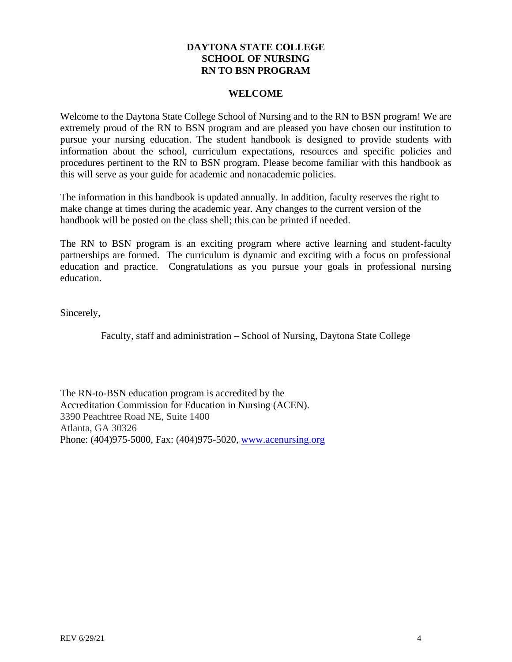# **DAYTONA STATE COLLEGE SCHOOL OF NURSING RN TO BSN PROGRAM**

#### **WELCOME**

<span id="page-3-0"></span>Welcome to the Daytona State College School of Nursing and to the RN to BSN program! We are extremely proud of the RN to BSN program and are pleased you have chosen our institution to pursue your nursing education. The student handbook is designed to provide students with information about the school, curriculum expectations, resources and specific policies and procedures pertinent to the RN to BSN program. Please become familiar with this handbook as this will serve as your guide for academic and nonacademic policies.

The information in this handbook is updated annually. In addition, faculty reserves the right to make change at times during the academic year. Any changes to the current version of the handbook will be posted on the class shell; this can be printed if needed.

The RN to BSN program is an exciting program where active learning and student-faculty partnerships are formed. The curriculum is dynamic and exciting with a focus on professional education and practice. Congratulations as you pursue your goals in professional nursing education.

Sincerely,

Faculty, staff and administration – School of Nursing, Daytona State College

The RN-to-BSN education program is accredited by the Accreditation Commission for Education in Nursing (ACEN). 3390 Peachtree Road NE, Suite 1400 Atlanta, GA 30326 Phone: (404)975-5000, Fax: (404)975-5020, [www.acenursing.org](http://www.acenursing.org/)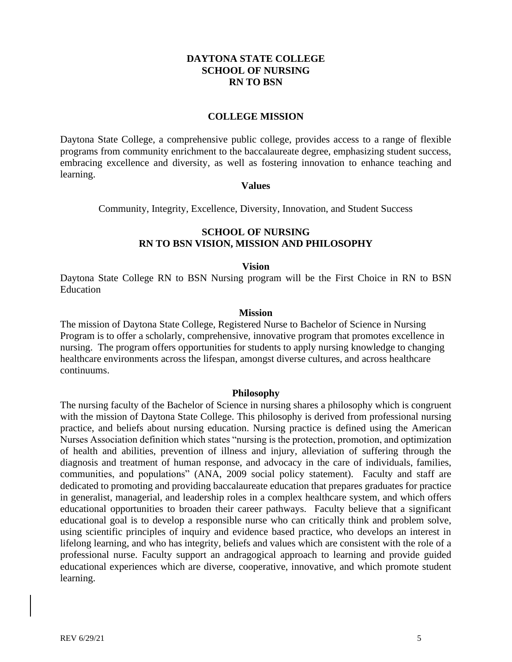### **DAYTONA STATE COLLEGE SCHOOL OF NURSING RN TO BSN**

#### **COLLEGE MISSION**

<span id="page-4-0"></span>Daytona State College, a comprehensive public college, provides access to a range of flexible programs from community enrichment to the baccalaureate degree, emphasizing student success, embracing excellence and diversity, as well as fostering innovation to enhance teaching and learning.

#### **Values**

Community, Integrity, Excellence, Diversity, Innovation, and Student Success

### **SCHOOL OF NURSING RN TO BSN VISION, MISSION AND PHILOSOPHY**

#### **Vision**

Daytona State College RN to BSN Nursing program will be the First Choice in RN to BSN Education

#### **Mission**

The mission of Daytona State College, Registered Nurse to Bachelor of Science in Nursing Program is to offer a scholarly, comprehensive, innovative program that promotes excellence in nursing. The program offers opportunities for students to apply nursing knowledge to changing healthcare environments across the lifespan, amongst diverse cultures, and across healthcare continuums.

#### **Philosophy**

The nursing faculty of the Bachelor of Science in nursing shares a philosophy which is congruent with the mission of Daytona State College. This philosophy is derived from professional nursing practice, and beliefs about nursing education. Nursing practice is defined using the American Nurses Association definition which states "nursing is the protection, promotion, and optimization of health and abilities, prevention of illness and injury, alleviation of suffering through the diagnosis and treatment of human response, and advocacy in the care of individuals, families, communities, and populations" (ANA, 2009 social policy statement). Faculty and staff are dedicated to promoting and providing baccalaureate education that prepares graduates for practice in generalist, managerial, and leadership roles in a complex healthcare system, and which offers educational opportunities to broaden their career pathways. Faculty believe that a significant educational goal is to develop a responsible nurse who can critically think and problem solve, using scientific principles of inquiry and evidence based practice, who develops an interest in lifelong learning, and who has integrity, beliefs and values which are consistent with the role of a professional nurse. Faculty support an andragogical approach to learning and provide guided educational experiences which are diverse, cooperative, innovative, and which promote student learning.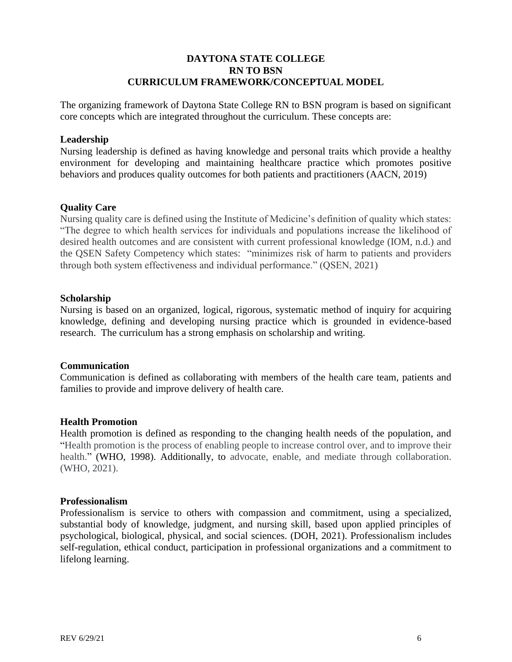# **DAYTONA STATE COLLEGE RN TO BSN CURRICULUM FRAMEWORK/CONCEPTUAL MODEL**

<span id="page-5-0"></span>The organizing framework of Daytona State College RN to BSN program is based on significant core concepts which are integrated throughout the curriculum. These concepts are:

#### **Leadership**

Nursing leadership is defined as having knowledge and personal traits which provide a healthy environment for developing and maintaining healthcare practice which promotes positive behaviors and produces quality outcomes for both patients and practitioners (AACN, 2019)

#### **Quality Care**

Nursing quality care is defined using the Institute of Medicine's definition of quality which states: "The degree to which health services for individuals and populations increase the likelihood of desired health outcomes and are consistent with current professional knowledge (IOM, n.d.) and the QSEN Safety Competency which states: "minimizes risk of harm to patients and providers through both system effectiveness and individual performance." (QSEN, 2021)

#### **Scholarship**

Nursing is based on an organized, logical, rigorous, systematic method of inquiry for acquiring knowledge, defining and developing nursing practice which is grounded in evidence-based research. The curriculum has a strong emphasis on scholarship and writing.

#### **Communication**

Communication is defined as collaborating with members of the health care team, patients and families to provide and improve delivery of health care.

### **Health Promotion**

Health promotion is defined as responding to the changing health needs of the population, and "Health promotion is the process of enabling people to increase control over, and to improve their health." (WHO, 1998). Additionally, to advocate, enable, and mediate through collaboration. (WHO, 2021).

#### **Professionalism**

Professionalism is service to others with compassion and commitment, using a specialized, substantial body of knowledge, judgment, and nursing skill, based upon applied principles of psychological, biological, physical, and social sciences. (DOH, 2021). Professionalism includes self-regulation, ethical conduct, participation in professional organizations and a commitment to lifelong learning.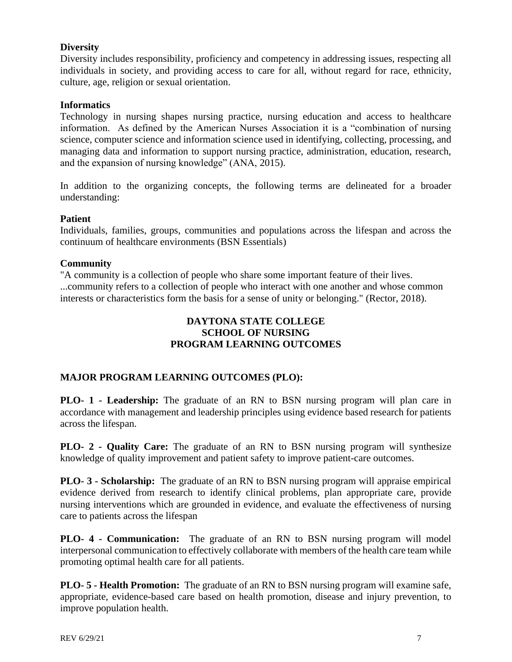# **Diversity**

Diversity includes responsibility, proficiency and competency in addressing issues, respecting all individuals in society, and providing access to care for all, without regard for race, ethnicity, culture, age, religion or sexual orientation.

# **Informatics**

Technology in nursing shapes nursing practice, nursing education and access to healthcare information. As defined by the American Nurses Association it is a "combination of nursing science, computer science and information science used in identifying, collecting, processing, and managing data and information to support nursing practice, administration, education, research, and the expansion of nursing knowledge" (ANA, 2015).

In addition to the organizing concepts, the following terms are delineated for a broader understanding:

### **Patient**

Individuals, families, groups, communities and populations across the lifespan and across the continuum of healthcare environments (BSN Essentials)

### **Community**

"A community is a collection of people who share some important feature of their lives. ...community refers to a collection of people who interact with one another and whose common interests or characteristics form the basis for a sense of unity or belonging." (Rector, 2018).

# **DAYTONA STATE COLLEGE SCHOOL OF NURSING PROGRAM LEARNING OUTCOMES**

# <span id="page-6-0"></span>**MAJOR PROGRAM LEARNING OUTCOMES (PLO):**

**PLO- 1 - Leadership:** The graduate of an RN to BSN nursing program will plan care in accordance with management and leadership principles using evidence based research for patients across the lifespan.

**PLO- 2 - Quality Care:** The graduate of an RN to BSN nursing program will synthesize knowledge of quality improvement and patient safety to improve patient-care outcomes.

**PLO- 3 - Scholarship:** The graduate of an RN to BSN nursing program will appraise empirical evidence derived from research to identify clinical problems, plan appropriate care, provide nursing interventions which are grounded in evidence, and evaluate the effectiveness of nursing care to patients across the lifespan

**PLO- 4 - Communication:** The graduate of an RN to BSN nursing program will model interpersonal communication to effectively collaborate with members of the health care team while promoting optimal health care for all patients.

**PLO- 5 - Health Promotion:** The graduate of an RN to BSN nursing program will examine safe, appropriate, evidence-based care based on health promotion, disease and injury prevention, to improve population health.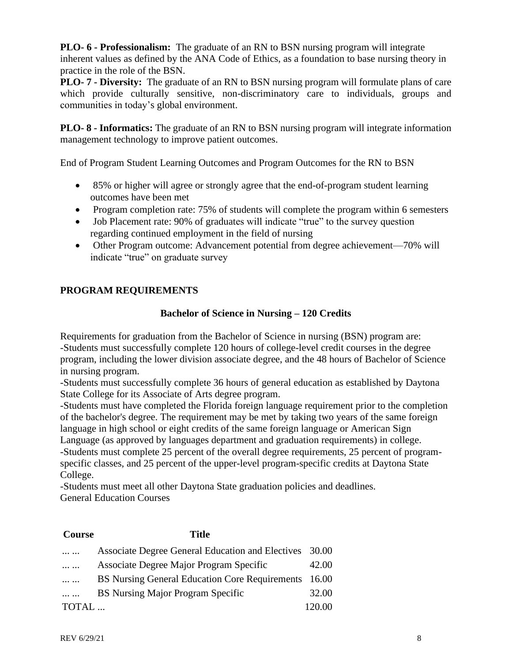**PLO- 6 - Professionalism:** The graduate of an RN to BSN nursing program will integrate inherent values as defined by the ANA Code of Ethics, as a foundation to base nursing theory in practice in the role of the BSN.

**PLO- 7 - Diversity:** The graduate of an RN to BSN nursing program will formulate plans of care which provide culturally sensitive, non-discriminatory care to individuals, groups and communities in today's global environment.

**PLO- 8 - Informatics:** The graduate of an RN to BSN nursing program will integrate information management technology to improve patient outcomes.

End of Program Student Learning Outcomes and Program Outcomes for the RN to BSN

- 85% or higher will agree or strongly agree that the end-of-program student learning outcomes have been met
- Program completion rate: 75% of students will complete the program within 6 semesters
- Job Placement rate: 90% of graduates will indicate "true" to the survey question regarding continued employment in the field of nursing
- Other Program outcome: Advancement potential from degree achievement—70% will indicate "true" on graduate survey

# <span id="page-7-0"></span>**PROGRAM REQUIREMENTS**

# **Bachelor of Science in Nursing – 120 Credits**

Requirements for graduation from the Bachelor of Science in nursing (BSN) program are: -Students must successfully complete 120 hours of college-level credit courses in the degree program, including the lower division associate degree, and the 48 hours of Bachelor of Science in nursing program.

-Students must successfully complete 36 hours of general education as established by Daytona State College for its Associate of Arts degree program.

-Students must have completed the Florida foreign language requirement prior to the completion of the bachelor's degree. The requirement may be met by taking two years of the same foreign language in high school or eight credits of the same foreign language or American Sign Language (as approved by languages department and graduation requirements) in college. -Students must complete 25 percent of the overall degree requirements, 25 percent of programspecific classes, and 25 percent of the upper-level program-specific credits at Daytona State College.

-Students must meet all other Daytona State graduation policies and deadlines. General Education Courses

# **Course Title** ... ... Associate Degree General Education and Electives 30.00 ... ... Associate Degree Major Program Specific 42.00 ... ... BS Nursing General Education Core Requirements 16.00 ... ... BS Nursing Major Program Specific 32.00 TOTAL ... 120.00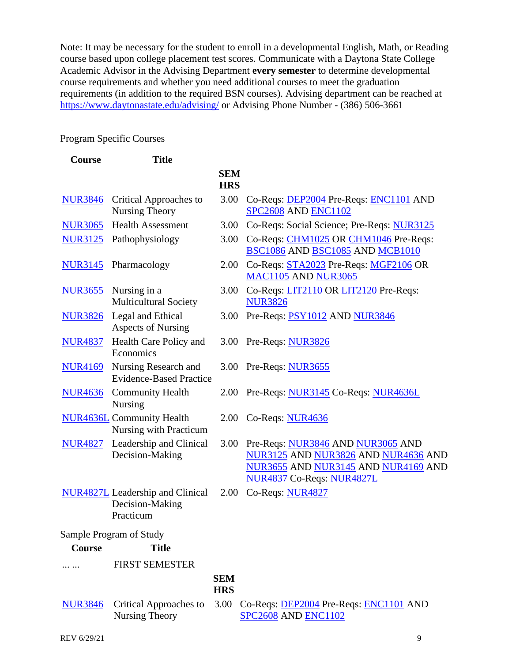Note: It may be necessary for the student to enroll in a developmental English, Math, or Reading course based upon college placement test scores. Communicate with a Daytona State College Academic Advisor in the Advising Department **every semester** to determine developmental course requirements and whether you need additional courses to meet the graduation requirements (in addition to the required BSN courses). Advising department can be reached at <https://www.daytonastate.edu/advising/> or Advising Phone Number - (386) 506-3661

# Program Specific Courses

| <b>Course</b>  | <b>Title</b>                                                            |                          |                                                                                                                                              |
|----------------|-------------------------------------------------------------------------|--------------------------|----------------------------------------------------------------------------------------------------------------------------------------------|
|                |                                                                         | <b>SEM</b><br><b>HRS</b> |                                                                                                                                              |
| <b>NUR3846</b> | Critical Approaches to<br><b>Nursing Theory</b>                         | 3.00                     | Co-Reqs: DEP2004 Pre-Reqs: ENC1101 AND<br><b>SPC2608 AND ENC1102</b>                                                                         |
| <b>NUR3065</b> | <b>Health Assessment</b>                                                | 3.00                     | Co-Reqs: Social Science; Pre-Reqs: NUR3125                                                                                                   |
| <b>NUR3125</b> | Pathophysiology                                                         | 3.00                     | Co-Reqs: CHM1025 OR CHM1046 Pre-Reqs:<br>BSC1086 AND BSC1085 AND MCB1010                                                                     |
|                | NUR3145 Pharmacology                                                    | 2.00                     | Co-Reqs: STA2023 Pre-Reqs: MGF2106 OR<br><b>MAC1105 AND NUR3065</b>                                                                          |
| <b>NUR3655</b> | Nursing in a<br><b>Multicultural Society</b>                            | 3.00                     | Co-Reqs: LIT2110 OR LIT2120 Pre-Reqs:<br><b>NUR3826</b>                                                                                      |
|                | NUR3826 Legal and Ethical<br><b>Aspects of Nursing</b>                  | 3.00                     | Pre-Reqs: PSY1012 AND NUR3846                                                                                                                |
| <b>NUR4837</b> | Health Care Policy and<br>Economics                                     |                          | 3.00 Pre-Reqs: NUR3826                                                                                                                       |
| <b>NUR4169</b> | Nursing Research and<br><b>Evidence-Based Practice</b>                  | 3.00                     | Pre-Reqs: NUR3655                                                                                                                            |
| <b>NUR4636</b> | <b>Community Health</b><br><b>Nursing</b>                               | 2.00                     | Pre-Reqs: NUR3145 Co-Reqs: NUR4636L                                                                                                          |
|                | <b>NUR4636L</b> Community Health<br>Nursing with Practicum              |                          | 2.00 Co-Reqs: NUR4636                                                                                                                        |
| <b>NUR4827</b> | Leadership and Clinical<br>Decision-Making                              | 3.00                     | Pre-Reqs: NUR3846 AND NUR3065 AND<br>NUR3125 AND NUR3826 AND NUR4636 AND<br>NUR3655 AND NUR3145 AND NUR4169 AND<br>NUR4837 Co-Reqs: NUR4827L |
|                | <b>NUR4827L</b> Leadership and Clinical<br>Decision-Making<br>Practicum | 2.00                     | Co-Reqs: NUR4827                                                                                                                             |
|                | Sample Program of Study                                                 |                          |                                                                                                                                              |
| <b>Course</b>  | <b>Title</b>                                                            |                          |                                                                                                                                              |
|                | <b>FIRST SEMESTER</b>                                                   |                          |                                                                                                                                              |
|                |                                                                         | <b>SEM</b><br><b>HRS</b> |                                                                                                                                              |
| <b>NUR3846</b> | <b>Critical Approaches to</b><br>Nursing Theory                         | 3.00                     | Co-Reqs: DEP2004 Pre-Reqs: ENC1101 AND<br><b>SPC2608 AND ENC1102</b>                                                                         |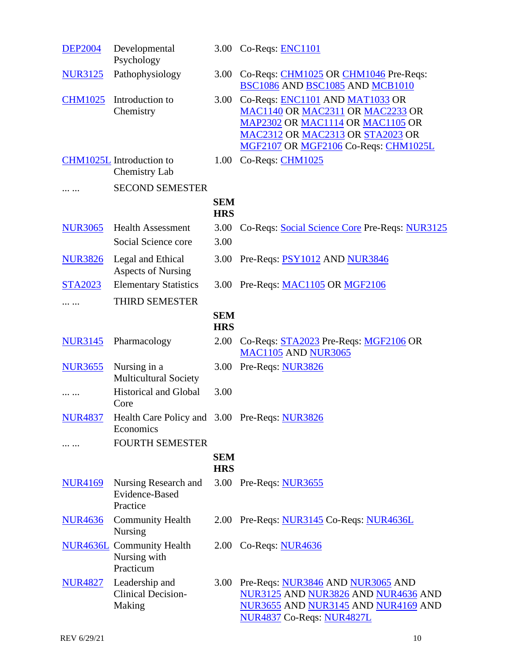| <b>DEP2004</b> | Developmental<br>Psychology                                   |                          | 3.00 Co-Reqs: ENC1101                                                                                                                                                               |
|----------------|---------------------------------------------------------------|--------------------------|-------------------------------------------------------------------------------------------------------------------------------------------------------------------------------------|
| <b>NUR3125</b> | Pathophysiology                                               | 3.00                     | Co-Reqs: CHM1025 OR CHM1046 Pre-Reqs:<br>BSC1086 AND BSC1085 AND MCB1010                                                                                                            |
| <b>CHM1025</b> | Introduction to<br>Chemistry                                  | 3.00                     | Co-Reqs: ENC1101 AND MAT1033 OR<br>MAC1140 OR MAC2311 OR MAC2233 OR<br>MAP2302 OR MAC1114 OR MAC1105 OR<br>MAC2312 OR MAC2313 OR STA2023 OR<br>MGF2107 OR MGF2106 Co-Reqs: CHM1025L |
|                | CHM1025L Introduction to<br><b>Chemistry Lab</b>              | 1.00                     | Co-Reqs: CHM1025                                                                                                                                                                    |
|                | <b>SECOND SEMESTER</b>                                        |                          |                                                                                                                                                                                     |
|                |                                                               | <b>SEM</b><br><b>HRS</b> |                                                                                                                                                                                     |
| <b>NUR3065</b> | <b>Health Assessment</b><br>Social Science core               | 3.00<br>3.00             | Co-Reqs: Social Science Core Pre-Reqs: NUR3125                                                                                                                                      |
| <b>NUR3826</b> | Legal and Ethical<br><b>Aspects of Nursing</b>                | 3.00                     | Pre-Reqs: PSY1012 AND NUR3846                                                                                                                                                       |
| <b>STA2023</b> | <b>Elementary Statistics</b>                                  |                          | 3.00 Pre-Reqs: MAC1105 OR MGF2106                                                                                                                                                   |
| .              | THIRD SEMESTER                                                |                          |                                                                                                                                                                                     |
|                |                                                               | <b>SEM</b><br><b>HRS</b> |                                                                                                                                                                                     |
| <b>NUR3145</b> | Pharmacology                                                  | 2.00                     | Co-Reqs: STA2023 Pre-Reqs: MGF2106 OR<br><b>MAC1105 AND NUR3065</b>                                                                                                                 |
| <b>NUR3655</b> | Nursing in a<br><b>Multicultural Society</b>                  | 3.00                     | Pre-Reqs: NUR3826                                                                                                                                                                   |
| .              | <b>Historical and Global</b><br>Core                          | 3.00                     |                                                                                                                                                                                     |
| <b>NUR4837</b> | Health Care Policy and 3.00 Pre-Reqs: NUR3826<br>Economics    |                          |                                                                                                                                                                                     |
| .              | <b>FOURTH SEMESTER</b>                                        |                          |                                                                                                                                                                                     |
|                |                                                               | <b>SEM</b><br><b>HRS</b> |                                                                                                                                                                                     |
| <b>NUR4169</b> | Nursing Research and<br>Evidence-Based<br>Practice            |                          | 3.00 Pre-Reqs: NUR3655                                                                                                                                                              |
| <b>NUR4636</b> | <b>Community Health</b><br><b>Nursing</b>                     |                          | 2.00 Pre-Reqs: NUR3145 Co-Reqs: NUR4636L                                                                                                                                            |
|                | <b>NUR4636L</b> Community Health<br>Nursing with<br>Practicum |                          | 2.00 Co-Reqs: NUR4636                                                                                                                                                               |
| <b>NUR4827</b> | Leadership and<br><b>Clinical Decision-</b><br>Making         | 3.00                     | Pre-Reqs: NUR3846 AND NUR3065 AND<br>NUR3125 AND NUR3826 AND NUR4636 AND<br>NUR3655 AND NUR3145 AND NUR4169 AND<br>NUR4837 Co-Reqs: NUR4827L                                        |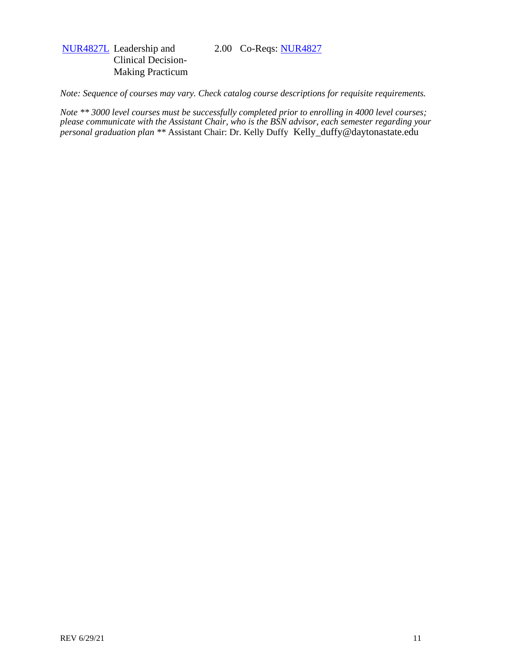#### 2.00 Co-Reqs: [NUR4827](http://www.daytonastate.edu/CollegeCatalog/CrsInfo.aspx?crsNo=NUR4827&cat=CC15)

# [NUR4827L](http://www.daytonastate.edu/CollegeCatalog/CrsInfo.aspx?crsNo=NUR4827L&cat=CC15) Leadership and Clinical Decision-Making Practicum

*Note: Sequence of courses may vary. Check catalog course descriptions for requisite requirements.*

*Note \*\* 3000 level courses must be successfully completed prior to enrolling in 4000 level courses; please communicate with the Assistant Chair, who is the BSN advisor, each semester regarding your personal graduation plan \*\** Assistant Chair: Dr. Kelly Duffy Kelly\_duffy@daytonastate.edu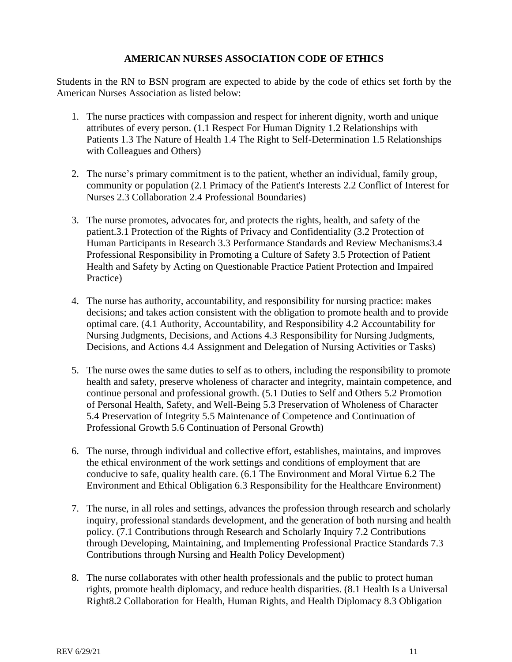# **AMERICAN NURSES ASSOCIATION CODE OF ETHICS**

<span id="page-11-0"></span>Students in the RN to BSN program are expected to abide by the code of ethics set forth by the American Nurses Association as listed below:

- 1. The nurse practices with compassion and respect for inherent dignity, worth and unique attributes of every person. (1.1 Respect For Human Dignity 1.2 Relationships with Patients 1.3 The Nature of Health 1.4 The Right to Self-Determination 1.5 Relationships with Colleagues and Others)
- 2. The nurse's primary commitment is to the patient, whether an individual, family group, community or population (2.1 Primacy of the Patient's Interests 2.2 Conflict of Interest for Nurses 2.3 Collaboration 2.4 Professional Boundaries)
- 3. The nurse promotes, advocates for, and protects the rights, health, and safety of the patient.3.1 Protection of the Rights of Privacy and Confidentiality (3.2 Protection of Human Participants in Research 3.3 Performance Standards and Review Mechanisms3.4 Professional Responsibility in Promoting a Culture of Safety 3.5 Protection of Patient Health and Safety by Acting on Questionable Practice Patient Protection and Impaired Practice)
- 4. The nurse has authority, accountability, and responsibility for nursing practice: makes decisions; and takes action consistent with the obligation to promote health and to provide optimal care. (4.1 Authority, Accountability, and Responsibility 4.2 Accountability for Nursing Judgments, Decisions, and Actions 4.3 Responsibility for Nursing Judgments, Decisions, and Actions 4.4 Assignment and Delegation of Nursing Activities or Tasks)
- 5. The nurse owes the same duties to self as to others, including the responsibility to promote health and safety, preserve wholeness of character and integrity, maintain competence, and continue personal and professional growth. (5.1 Duties to Self and Others 5.2 Promotion of Personal Health, Safety, and Well-Being 5.3 Preservation of Wholeness of Character 5.4 Preservation of Integrity 5.5 Maintenance of Competence and Continuation of Professional Growth 5.6 Continuation of Personal Growth)
- 6. The nurse, through individual and collective effort, establishes, maintains, and improves the ethical environment of the work settings and conditions of employment that are conducive to safe, quality health care. (6.1 The Environment and Moral Virtue 6.2 The Environment and Ethical Obligation 6.3 Responsibility for the Healthcare Environment)
- 7. The nurse, in all roles and settings, advances the profession through research and scholarly inquiry, professional standards development, and the generation of both nursing and health policy. (7.1 Contributions through Research and Scholarly Inquiry 7.2 Contributions through Developing, Maintaining, and Implementing Professional Practice Standards 7.3 Contributions through Nursing and Health Policy Development)
- 8. The nurse collaborates with other health professionals and the public to protect human rights, promote health diplomacy, and reduce health disparities. (8.1 Health Is a Universal Right8.2 Collaboration for Health, Human Rights, and Health Diplomacy 8.3 Obligation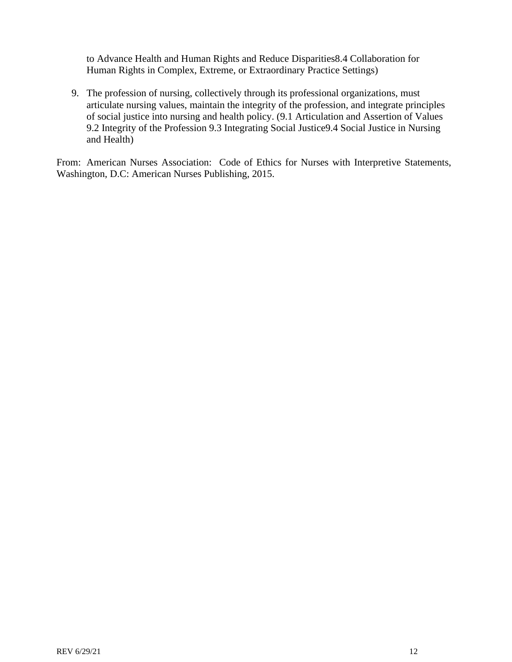to Advance Health and Human Rights and Reduce Disparities8.4 Collaboration for Human Rights in Complex, Extreme, or Extraordinary Practice Settings)

9. The profession of nursing, collectively through its professional organizations, must articulate nursing values, maintain the integrity of the profession, and integrate principles of social justice into nursing and health policy. (9.1 Articulation and Assertion of Values 9.2 Integrity of the Profession 9.3 Integrating Social Justice9.4 Social Justice in Nursing and Health)

From: American Nurses Association: Code of Ethics for Nurses with Interpretive Statements, Washington, D.C: American Nurses Publishing, 2015.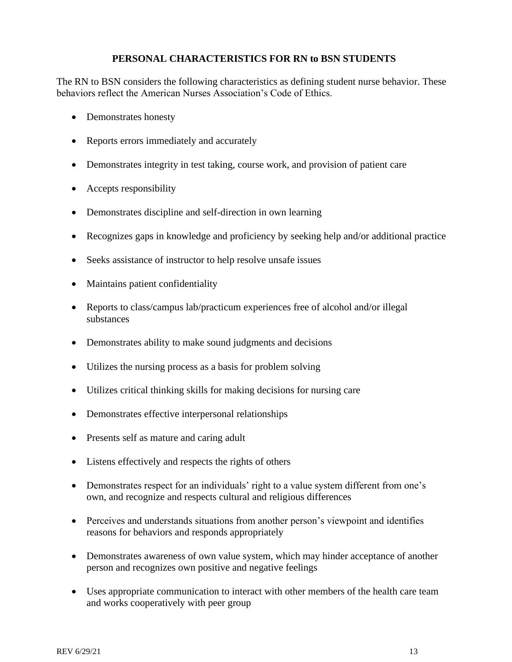# **PERSONAL CHARACTERISTICS FOR RN to BSN STUDENTS**

<span id="page-13-0"></span>The RN to BSN considers the following characteristics as defining student nurse behavior. These behaviors reflect the American Nurses Association's Code of Ethics.

- Demonstrates honesty
- Reports errors immediately and accurately
- Demonstrates integrity in test taking, course work, and provision of patient care
- Accepts responsibility
- Demonstrates discipline and self-direction in own learning
- Recognizes gaps in knowledge and proficiency by seeking help and/or additional practice
- Seeks assistance of instructor to help resolve unsafe issues
- Maintains patient confidentiality
- Reports to class/campus lab/practicum experiences free of alcohol and/or illegal substances
- Demonstrates ability to make sound judgments and decisions
- Utilizes the nursing process as a basis for problem solving
- Utilizes critical thinking skills for making decisions for nursing care
- Demonstrates effective interpersonal relationships
- Presents self as mature and caring adult
- Listens effectively and respects the rights of others
- Demonstrates respect for an individuals' right to a value system different from one's own, and recognize and respects cultural and religious differences
- Perceives and understands situations from another person's viewpoint and identifies reasons for behaviors and responds appropriately
- Demonstrates awareness of own value system, which may hinder acceptance of another person and recognizes own positive and negative feelings
- Uses appropriate communication to interact with other members of the health care team and works cooperatively with peer group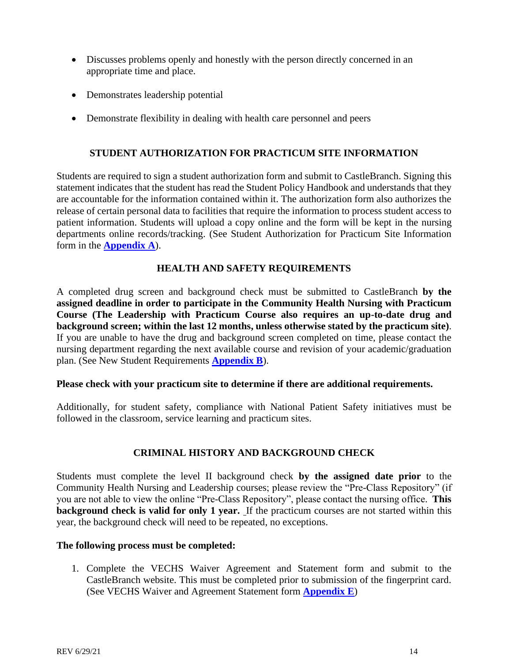- Discusses problems openly and honestly with the person directly concerned in an appropriate time and place.
- Demonstrates leadership potential
- Demonstrate flexibility in dealing with health care personnel and peers

# **STUDENT AUTHORIZATION FOR PRACTICUM SITE INFORMATION**

<span id="page-14-0"></span>Students are required to sign a student authorization form and submit to CastleBranch. Signing this statement indicates that the student has read the Student Policy Handbook and understands that they are accountable for the information contained within it. The authorization form also authorizes the release of certain personal data to facilities that require the information to process student access to patient information. Students will upload a copy online and the form will be kept in the nursing departments online records/tracking. (See Student Authorization for Practicum Site Information form in the **[Appendix](#page-38-0) A**).

# **HEALTH AND SAFETY REQUIREMENTS**

<span id="page-14-1"></span>A completed drug screen and background check must be submitted to CastleBranch **by the assigned deadline in order to participate in the Community Health Nursing with Practicum Course (The Leadership with Practicum Course also requires an up-to-date drug and background screen; within the last 12 months, unless otherwise stated by the practicum site)**. If you are unable to have the drug and background screen completed on time, please contact the nursing department regarding the next available course and revision of your academic/graduation plan. (See New Student Requirements **[Appendix B](#page-39-0)**).

### **Please check with your practicum site to determine if there are additional requirements.**

Additionally, for student safety, compliance with National Patient Safety initiatives must be followed in the classroom, service learning and practicum sites.

# **CRIMINAL HISTORY AND BACKGROUND CHECK**

<span id="page-14-2"></span>Students must complete the level II background check **by the assigned date prior** to the Community Health Nursing and Leadership courses; please review the "Pre-Class Repository" (if you are not able to view the online "Pre-Class Repository", please contact the nursing office. **This background check is valid for only 1 year.** If the practicum courses are not started within this year, the background check will need to be repeated, no exceptions.

### **The following process must be completed:**

1. Complete the VECHS Waiver Agreement and Statement form and submit to the CastleBranch website. This must be completed prior to submission of the fingerprint card. (See VECHS Waiver and Agreement Statement form **[Appendix E](#page-41-0)**)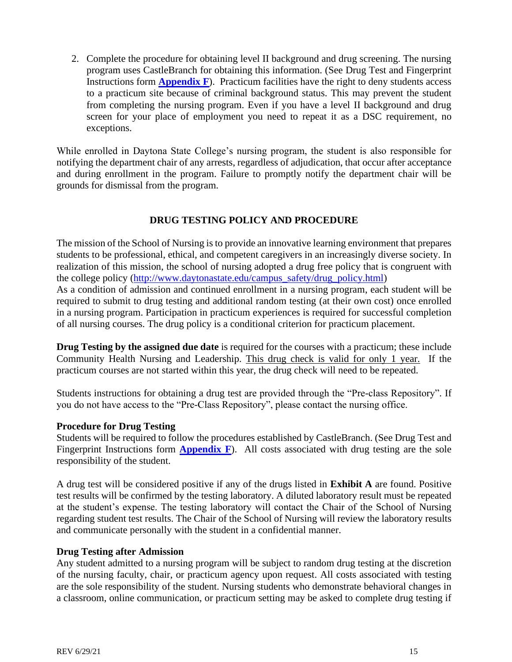2. Complete the procedure for obtaining level II background and drug screening. The nursing program uses CastleBranch for obtaining this information. (See Drug Test and Fingerprint Instructions form **[Appendix F](#page-42-0)**). Practicum facilities have the right to deny students access to a practicum site because of criminal background status. This may prevent the student from completing the nursing program. Even if you have a level II background and drug screen for your place of employment you need to repeat it as a DSC requirement, no exceptions.

While enrolled in Daytona State College's nursing program, the student is also responsible for notifying the department chair of any arrests, regardless of adjudication, that occur after acceptance and during enrollment in the program. Failure to promptly notify the department chair will be grounds for dismissal from the program.

# **DRUG TESTING POLICY AND PROCEDURE**

<span id="page-15-0"></span>The mission of the School of Nursing is to provide an innovative learning environment that prepares students to be professional, ethical, and competent caregivers in an increasingly diverse society. In realization of this mission, the school of nursing adopted a drug free policy that is congruent with the college policy [\(http://www.daytonastate.edu/campus\\_safety/drug\\_policy.html\)](http://www.daytonastate.edu/campus_safety/drug_policy.html) As a condition of admission and continued enrollment in a nursing program, each student will be required to submit to drug testing and additional random testing (at their own cost) once enrolled in a nursing program. Participation in practicum experiences is required for successful completion of all nursing courses. The drug policy is a conditional criterion for practicum placement.

**Drug Testing by the assigned due date** is required for the courses with a practicum; these include Community Health Nursing and Leadership. This drug check is valid for only 1 year. If the practicum courses are not started within this year, the drug check will need to be repeated.

Students instructions for obtaining a drug test are provided through the "Pre-class Repository". If you do not have access to the "Pre-Class Repository", please contact the nursing office.

### **Procedure for Drug Testing**

Students will be required to follow the procedures established by CastleBranch. (See Drug Test and Fingerprint Instructions form **[Appendix F](#page-42-0)**). All costs associated with drug testing are the sole responsibility of the student.

A drug test will be considered positive if any of the drugs listed in **Exhibit A** are found. Positive test results will be confirmed by the testing laboratory. A diluted laboratory result must be repeated at the student's expense. The testing laboratory will contact the Chair of the School of Nursing regarding student test results. The Chair of the School of Nursing will review the laboratory results and communicate personally with the student in a confidential manner.

### **Drug Testing after Admission**

Any student admitted to a nursing program will be subject to random drug testing at the discretion of the nursing faculty, chair, or practicum agency upon request. All costs associated with testing are the sole responsibility of the student. Nursing students who demonstrate behavioral changes in a classroom, online communication, or practicum setting may be asked to complete drug testing if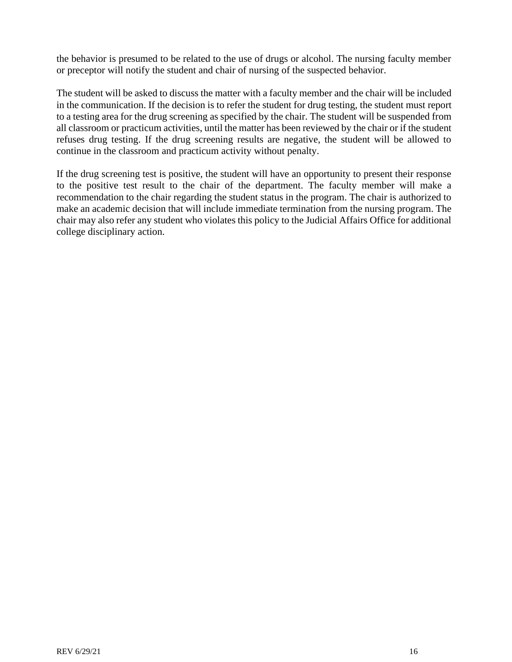the behavior is presumed to be related to the use of drugs or alcohol. The nursing faculty member or preceptor will notify the student and chair of nursing of the suspected behavior.

The student will be asked to discuss the matter with a faculty member and the chair will be included in the communication. If the decision is to refer the student for drug testing, the student must report to a testing area for the drug screening as specified by the chair. The student will be suspended from all classroom or practicum activities, until the matter has been reviewed by the chair or if the student refuses drug testing. If the drug screening results are negative, the student will be allowed to continue in the classroom and practicum activity without penalty.

If the drug screening test is positive, the student will have an opportunity to present their response to the positive test result to the chair of the department. The faculty member will make a recommendation to the chair regarding the student status in the program. The chair is authorized to make an academic decision that will include immediate termination from the nursing program. The chair may also refer any student who violates this policy to the Judicial Affairs Office for additional college disciplinary action.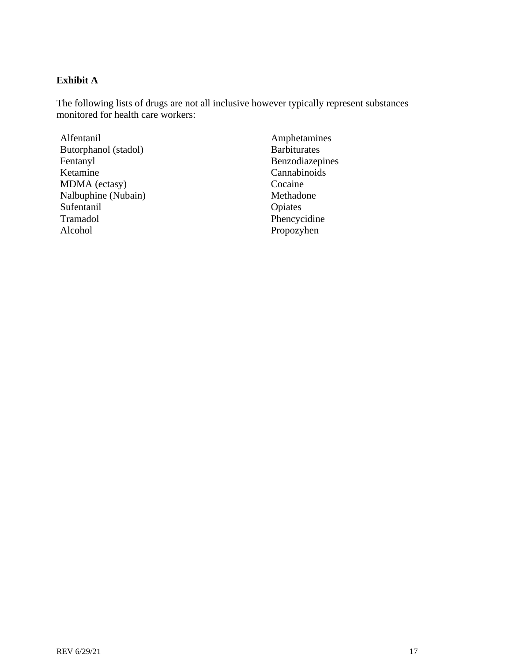# **Exhibit A**

The following lists of drugs are not all inclusive however typically represent substances monitored for health care workers:

Alfentanil Butorphanol (stadol) Fentanyl Ketamine MDMA (ectasy) Nalbuphine (Nubain) Sufentanil Tramadol Alcohol

Amphetamines Barbiturates Benzodiazepines Cannabinoids Cocaine Methadone Opiates Phencycidine Propozyhen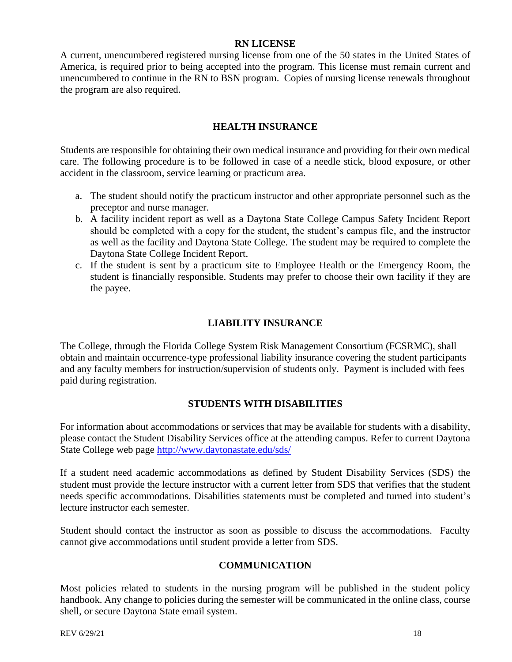### **RN LICENSE**

A current, unencumbered registered nursing license from one of the 50 states in the United States of America, is required prior to being accepted into the program. This license must remain current and unencumbered to continue in the RN to BSN program. Copies of nursing license renewals throughout the program are also required.

# **HEALTH INSURANCE**

<span id="page-18-0"></span>Students are responsible for obtaining their own medical insurance and providing for their own medical care. The following procedure is to be followed in case of a needle stick, blood exposure, or other accident in the classroom, service learning or practicum area.

- a. The student should notify the practicum instructor and other appropriate personnel such as the preceptor and nurse manager.
- b. A facility incident report as well as a Daytona State College Campus Safety Incident Report should be completed with a copy for the student, the student's campus file, and the instructor as well as the facility and Daytona State College. The student may be required to complete the Daytona State College Incident Report.
- c. If the student is sent by a practicum site to Employee Health or the Emergency Room, the student is financially responsible. Students may prefer to choose their own facility if they are the payee.

# **LIABILITY INSURANCE**

<span id="page-18-1"></span>The College, through the Florida College System Risk Management Consortium (FCSRMC), shall obtain and maintain occurrence-type professional liability insurance covering the student participants and any faculty members for instruction/supervision of students only. Payment is included with fees paid during registration.

# **STUDENTS WITH DISABILITIES**

<span id="page-18-2"></span>For information about accommodations or services that may be available for students with a disability, please contact the Student Disability Services office at the attending campus. Refer to current Daytona State College web page<http://www.daytonastate.edu/sds/>

If a student need academic accommodations as defined by Student Disability Services (SDS) the student must provide the lecture instructor with a current letter from SDS that verifies that the student needs specific accommodations. Disabilities statements must be completed and turned into student's lecture instructor each semester.

Student should contact the instructor as soon as possible to discuss the accommodations. Faculty cannot give accommodations until student provide a letter from SDS.

# **COMMUNICATION**

Most policies related to students in the nursing program will be published in the student policy handbook. Any change to policies during the semester will be communicated in the online class, course shell, or secure Daytona State email system.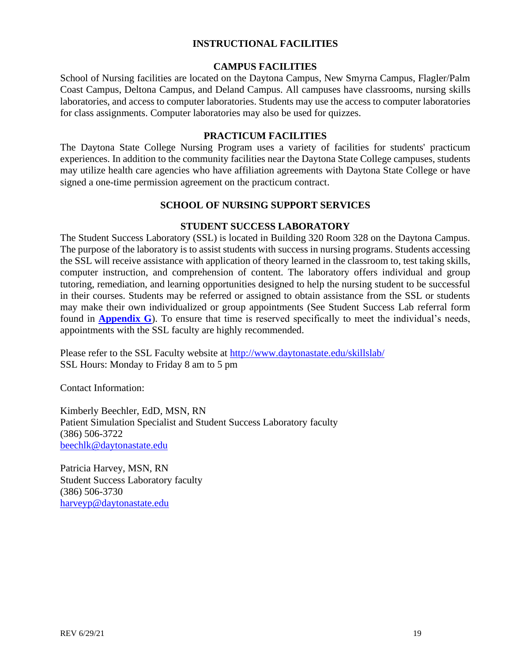# **INSTRUCTIONAL FACILITIES**

#### **CAMPUS FACILITIES**

<span id="page-19-1"></span><span id="page-19-0"></span>School of Nursing facilities are located on the Daytona Campus, New Smyrna Campus, Flagler/Palm Coast Campus, Deltona Campus, and Deland Campus. All campuses have classrooms, nursing skills laboratories, and access to computer laboratories. Students may use the access to computer laboratories for class assignments. Computer laboratories may also be used for quizzes.

#### **PRACTICUM FACILITIES**

<span id="page-19-2"></span>The Daytona State College Nursing Program uses a variety of facilities for students' practicum experiences. In addition to the community facilities near the Daytona State College campuses, students may utilize health care agencies who have affiliation agreements with Daytona State College or have signed a one-time permission agreement on the practicum contract.

### **SCHOOL OF NURSING SUPPORT SERVICES**

### **STUDENT SUCCESS LABORATORY**

<span id="page-19-4"></span><span id="page-19-3"></span>The Student Success Laboratory (SSL) is located in Building 320 Room 328 on the Daytona Campus. The purpose of the laboratory is to assist students with success in nursing programs. Students accessing the SSL will receive assistance with application of theory learned in the classroom to, test taking skills, computer instruction, and comprehension of content. The laboratory offers individual and group tutoring, remediation, and learning opportunities designed to help the nursing student to be successful in their courses. Students may be referred or assigned to obtain assistance from the SSL or students may make their own individualized or group appointments (See Student Success Lab referral form found in **[Appendix](#page-43-0) G**). To ensure that time is reserved specifically to meet the individual's needs, appointments with the SSL faculty are highly recommended.

Please refer to the SSL Faculty website at<http://www.daytonastate.edu/skillslab/> SSL Hours: Monday to Friday 8 am to 5 pm

Contact Information:

Kimberly Beechler, EdD, MSN, RN Patient Simulation Specialist and Student Success Laboratory faculty (386) 506-3722 [beechlk@daytonastate.edu](mailto:beechlk@daytonastate.edu)

Patricia Harvey, MSN, RN Student Success Laboratory faculty (386) 506-3730 [harveyp@daytonastate.edu](mailto:harveyp@daytonastate.edu)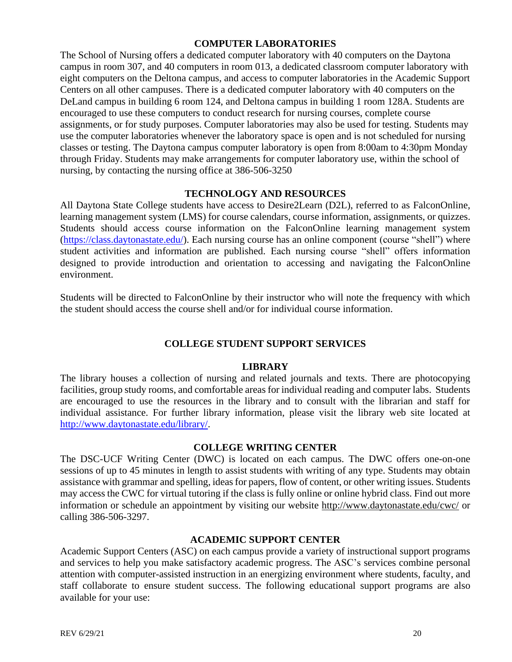# **COMPUTER LABORATORIES**

<span id="page-20-0"></span>The School of Nursing offers a dedicated computer laboratory with 40 computers on the Daytona campus in room 307, and 40 computers in room 013, a dedicated classroom computer laboratory with eight computers on the Deltona campus, and access to computer laboratories in the Academic Support Centers on all other campuses. There is a dedicated computer laboratory with 40 computers on the DeLand campus in building 6 room 124, and Deltona campus in building 1 room 128A. Students are encouraged to use these computers to conduct research for nursing courses, complete course assignments, or for study purposes. Computer laboratories may also be used for testing. Students may use the computer laboratories whenever the laboratory space is open and is not scheduled for nursing classes or testing. The Daytona campus computer laboratory is open from 8:00am to 4:30pm Monday through Friday. Students may make arrangements for computer laboratory use, within the school of nursing, by contacting the nursing office at 386-506-3250

# **TECHNOLOGY AND RESOURCES**

<span id="page-20-1"></span>All Daytona State College students have access to Desire2Learn (D2L), referred to as FalconOnline, learning management system (LMS) for course calendars, course information, assignments, or quizzes. Students should access course information on the FalconOnline learning management system [\(https://class.daytonastate.edu/\)](https://class.daytonastate.edu/). Each nursing course has an online component (course "shell") where student activities and information are published. Each nursing course "shell" offers information designed to provide introduction and orientation to accessing and navigating the FalconOnline environment.

Students will be directed to FalconOnline by their instructor who will note the frequency with which the student should access the course shell and/or for individual course information.

# **COLLEGE STUDENT SUPPORT SERVICES**

### **LIBRARY**

<span id="page-20-3"></span><span id="page-20-2"></span>The library houses a collection of nursing and related journals and texts. There are photocopying facilities, group study rooms, and comfortable areas for individual reading and computer labs. Students are encouraged to use the resources in the library and to consult with the librarian and staff for individual assistance. For further library information, please visit the library web site located at [http://www.daytonastate.edu/library/.](http://www.daytonastate.edu/library/)

#### **COLLEGE WRITING CENTER**

<span id="page-20-4"></span>The DSC-UCF Writing Center (DWC) is located on each campus. The DWC offers one-on-one sessions of up to 45 minutes in length to assist students with writing of any type. Students may obtain assistance with grammar and spelling, ideas for papers, flow of content, or other writing issues. Students may access the CWC for virtual tutoring if the class is fully online or online hybrid class. Find out more information or schedule an appointment by visiting our website<http://www.daytonastate.edu/cwc/> or calling 386-506-3297.

### **ACADEMIC SUPPORT CENTER**

<span id="page-20-5"></span>Academic Support Centers (ASC) on each campus provide a variety of instructional support programs and services to help you make satisfactory academic progress. The ASC's services combine personal attention with computer-assisted instruction in an energizing environment where students, faculty, and staff collaborate to ensure student success. The following educational support programs are also available for your use: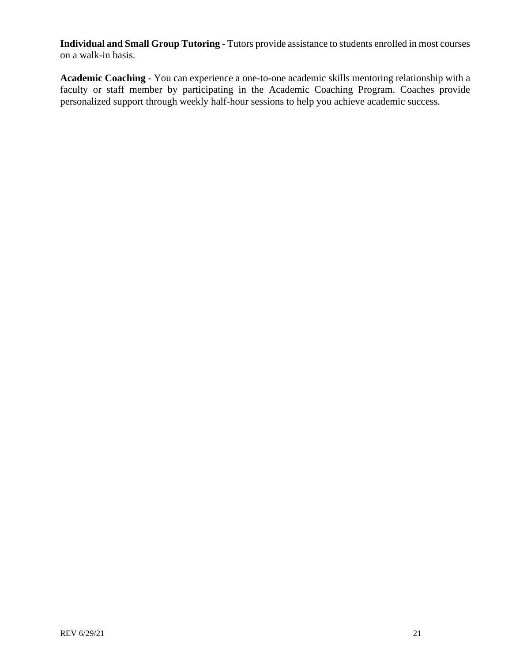**Individual and Small Group Tutoring -** Tutors provide assistance to students enrolled in most courses on a walk-in basis.

**Academic Coaching** - You can experience a one-to-one academic skills mentoring relationship with a faculty or staff member by participating in the Academic Coaching Program. Coaches provide personalized support through weekly half-hour sessions to help you achieve academic success.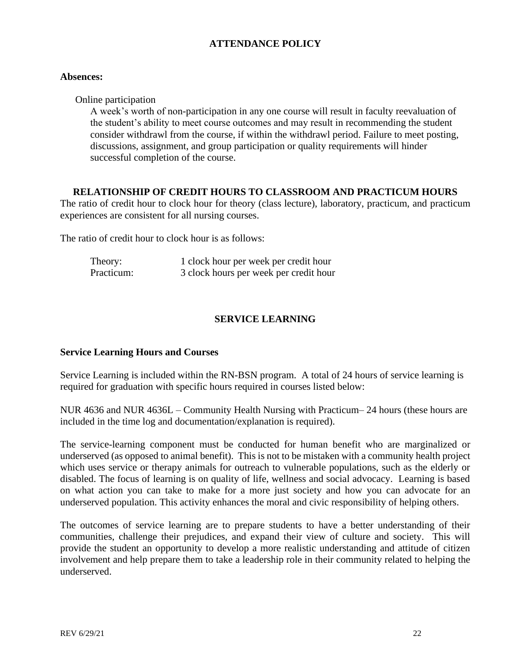# **ATTENDANCE POLICY**

### <span id="page-22-0"></span>**Absences:**

Online participation

A week's worth of non-participation in any one course will result in faculty reevaluation of the student's ability to meet course outcomes and may result in recommending the student consider withdrawl from the course, if within the withdrawl period. Failure to meet posting, discussions, assignment, and group participation or quality requirements will hinder successful completion of the course.

### **RELATIONSHIP OF CREDIT HOURS TO CLASSROOM AND PRACTICUM HOURS**

<span id="page-22-1"></span>The ratio of credit hour to clock hour for theory (class lecture), laboratory, practicum, and practicum experiences are consistent for all nursing courses.

The ratio of credit hour to clock hour is as follows:

| Theory:    | 1 clock hour per week per credit hour  |
|------------|----------------------------------------|
| Practicum: | 3 clock hours per week per credit hour |

# **SERVICE LEARNING**

### <span id="page-22-2"></span>**Service Learning Hours and Courses**

Service Learning is included within the RN-BSN program. A total of 24 hours of service learning is required for graduation with specific hours required in courses listed below:

NUR 4636 and NUR 4636L – Community Health Nursing with Practicum– 24 hours (these hours are included in the time log and documentation/explanation is required).

The service-learning component must be conducted for human benefit who are marginalized or underserved (as opposed to animal benefit). This is not to be mistaken with a community health project which uses service or therapy animals for outreach to vulnerable populations, such as the elderly or disabled. The focus of learning is on quality of life, wellness and social advocacy. Learning is based on what action you can take to make for a more just society and how you can advocate for an underserved population. This activity enhances the moral and civic responsibility of helping others.

The outcomes of service learning are to prepare students to have a better understanding of their communities, challenge their prejudices, and expand their view of culture and society. This will provide the student an opportunity to develop a more realistic understanding and attitude of citizen involvement and help prepare them to take a leadership role in their community related to helping the underserved.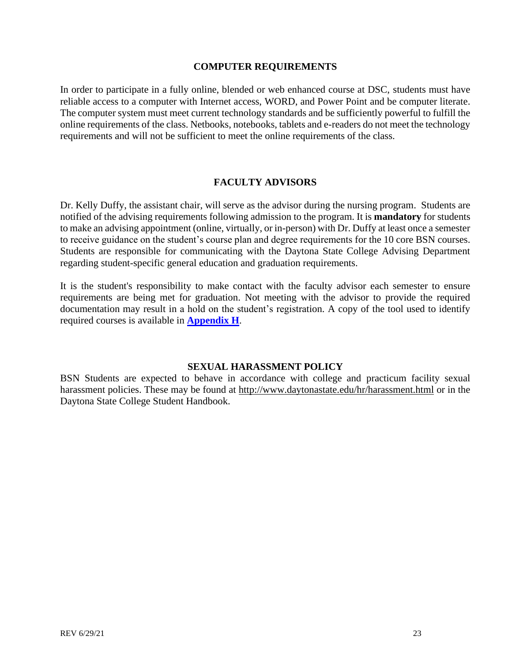#### **COMPUTER REQUIREMENTS**

In order to participate in a fully online, blended or web enhanced course at DSC, students must have reliable access to a computer with Internet access, WORD, and Power Point and be computer literate. The computer system must meet current technology standards and be sufficiently powerful to fulfill the online requirements of the class. Netbooks, notebooks, tablets and e-readers do not meet the technology requirements and will not be sufficient to meet the online requirements of the class.

### **FACULTY ADVISORS**

<span id="page-23-0"></span>Dr. Kelly Duffy, the assistant chair, will serve as the advisor during the nursing program. Students are notified of the advising requirements following admission to the program. It is **mandatory** for students to make an advising appointment (online, virtually, or in-person) with Dr. Duffy at least once a semester to receive guidance on the student's course plan and degree requirements for the 10 core BSN courses. Students are responsible for communicating with the Daytona State College Advising Department regarding student-specific general education and graduation requirements.

It is the student's responsibility to make contact with the faculty advisor each semester to ensure requirements are being met for graduation. Not meeting with the advisor to provide the required documentation may result in a hold on the student's registration. A copy of the tool used to identify required courses is available in **[Appendix](#page-44-0) H**.

#### **SEXUAL HARASSMENT POLICY**

<span id="page-23-1"></span>BSN Students are expected to behave in accordance with college and practicum facility sexual harassment policies. These may be found at <http://www.daytonastate.edu/hr/harassment.html> or in the Daytona State College Student Handbook.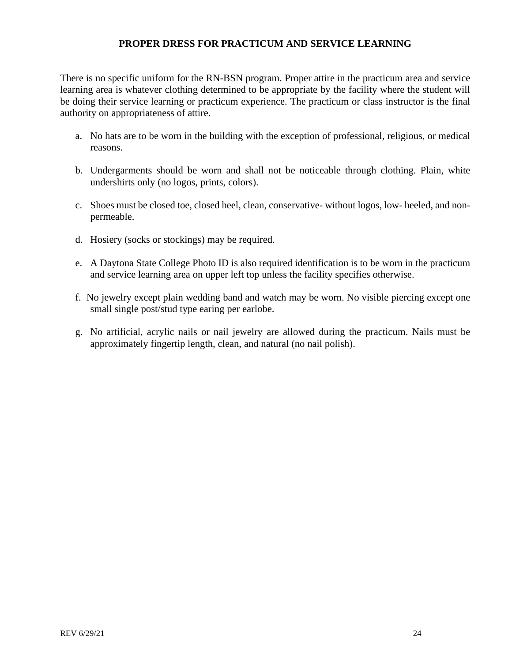# **PROPER DRESS FOR PRACTICUM AND SERVICE LEARNING**

<span id="page-24-0"></span>There is no specific uniform for the RN-BSN program. Proper attire in the practicum area and service learning area is whatever clothing determined to be appropriate by the facility where the student will be doing their service learning or practicum experience. The practicum or class instructor is the final authority on appropriateness of attire.

- a. No hats are to be worn in the building with the exception of professional, religious, or medical reasons.
- b. Undergarments should be worn and shall not be noticeable through clothing. Plain, white undershirts only (no logos, prints, colors).
- c. Shoes must be closed toe, closed heel, clean, conservative- without logos, low- heeled, and nonpermeable.
- d. Hosiery (socks or stockings) may be required.
- e. A Daytona State College Photo ID is also required identification is to be worn in the practicum and service learning area on upper left top unless the facility specifies otherwise.
- f. No jewelry except plain wedding band and watch may be worn. No visible piercing except one small single post/stud type earing per earlobe.
- g. No artificial, acrylic nails or nail jewelry are allowed during the practicum. Nails must be approximately fingertip length, clean, and natural (no nail polish).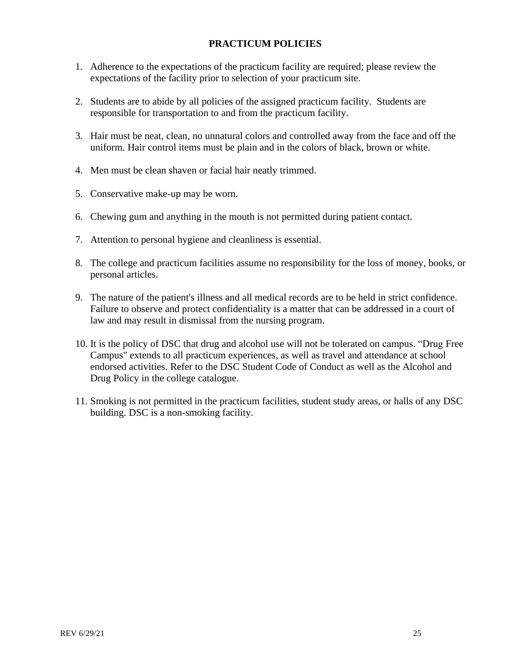# **PRACTICUM POLICIES**

- <span id="page-25-0"></span>1. Adherence to the expectations of the practicum facility are required; please review the expectations of the facility prior to selection of your practicum site.
- 2. Students are to abide by all policies of the assigned practicum facility. Students are responsible for transportation to and from the practicum facility.
- 3. Hair must be neat, clean, no unnatural colors and controlled away from the face and off the uniform. Hair control items must be plain and in the colors of black, brown or white.
- 4. Men must be clean shaven or facial hair neatly trimmed.
- 5. Conservative make-up may be worn.
- 6. Chewing gum and anything in the mouth is not permitted during patient contact.
- 7. Attention to personal hygiene and cleanliness is essential.
- 8. The college and practicum facilities assume no responsibility for the loss of money, books, or personal articles.
- 9. The nature of the patient's illness and all medical records are to be held in strict confidence. Failure to observe and protect confidentiality is a matter that can be addressed in a court of law and may result in dismissal from the nursing program.
- 10. It is the policy of DSC that drug and alcohol use will not be tolerated on campus. "Drug Free Campus" extends to all practicum experiences, as well as travel and attendance at school endorsed activities. Refer to the DSC Student Code of Conduct as well as the Alcohol and Drug Policy in the college catalogue.
- 11. Smoking is not permitted in the practicum facilities, student study areas, or halls of any DSC building. DSC is a non-smoking facility.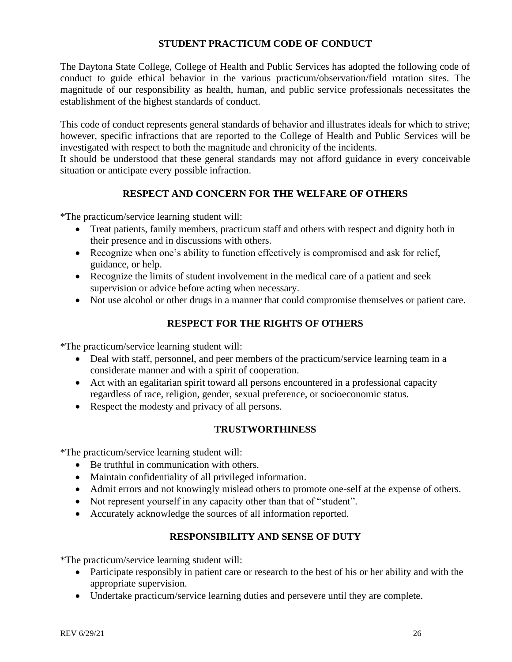# **STUDENT PRACTICUM CODE OF CONDUCT**

The Daytona State College, College of Health and Public Services has adopted the following code of conduct to guide ethical behavior in the various practicum/observation/field rotation sites. The magnitude of our responsibility as health, human, and public service professionals necessitates the establishment of the highest standards of conduct.

This code of conduct represents general standards of behavior and illustrates ideals for which to strive; however, specific infractions that are reported to the College of Health and Public Services will be investigated with respect to both the magnitude and chronicity of the incidents.

It should be understood that these general standards may not afford guidance in every conceivable situation or anticipate every possible infraction.

# **RESPECT AND CONCERN FOR THE WELFARE OF OTHERS**

\*The practicum/service learning student will:

- Treat patients, family members, practicum staff and others with respect and dignity both in their presence and in discussions with others.
- Recognize when one's ability to function effectively is compromised and ask for relief, guidance, or help.
- Recognize the limits of student involvement in the medical care of a patient and seek supervision or advice before acting when necessary.
- Not use alcohol or other drugs in a manner that could compromise themselves or patient care.

# **RESPECT FOR THE RIGHTS OF OTHERS**

\*The practicum/service learning student will:

- Deal with staff, personnel, and peer members of the practicum/service learning team in a considerate manner and with a spirit of cooperation.
- Act with an egalitarian spirit toward all persons encountered in a professional capacity regardless of race, religion, gender, sexual preference, or socioeconomic status.
- Respect the modesty and privacy of all persons.

# **TRUSTWORTHINESS**

\*The practicum/service learning student will:

- Be truthful in communication with others.
- Maintain confidentiality of all privileged information.
- Admit errors and not knowingly mislead others to promote one-self at the expense of others.
- Not represent yourself in any capacity other than that of "student".
- Accurately acknowledge the sources of all information reported.

# **RESPONSIBILITY AND SENSE OF DUTY**

\*The practicum/service learning student will:

- Participate responsibly in patient care or research to the best of his or her ability and with the appropriate supervision.
- Undertake practicum/service learning duties and persevere until they are complete.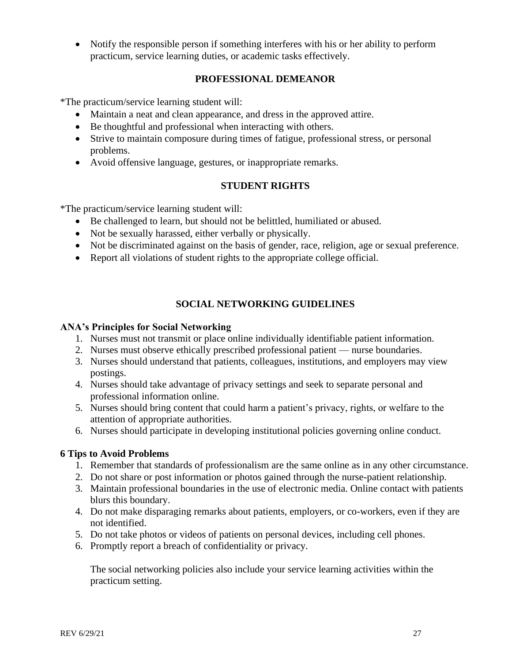• Notify the responsible person if something interferes with his or her ability to perform practicum, service learning duties, or academic tasks effectively.

# **PROFESSIONAL DEMEANOR**

\*The practicum/service learning student will:

- Maintain a neat and clean appearance, and dress in the approved attire.
- Be thoughtful and professional when interacting with others.
- Strive to maintain composure during times of fatigue, professional stress, or personal problems.
- Avoid offensive language, gestures, or inappropriate remarks.

# **STUDENT RIGHTS**

\*The practicum/service learning student will:

- Be challenged to learn, but should not be belittled, humiliated or abused.
- Not be sexually harassed, either verbally or physically.
- Not be discriminated against on the basis of gender, race, religion, age or sexual preference.
- Report all violations of student rights to the appropriate college official.

# **SOCIAL NETWORKING GUIDELINES**

#### <span id="page-27-0"></span>**ANA's Principles for Social Networking**

- 1. Nurses must not transmit or place online individually identifiable patient information.
- 2. Nurses must observe ethically prescribed professional patient nurse boundaries.
- 3. Nurses should understand that patients, colleagues, institutions, and employers may view postings.
- 4. Nurses should take advantage of privacy settings and seek to separate personal and professional information online.
- 5. Nurses should bring content that could harm a patient's privacy, rights, or welfare to the attention of appropriate authorities.
- 6. Nurses should participate in developing institutional policies governing online conduct.

### **6 Tips to Avoid Problems**

- 1. Remember that standards of professionalism are the same online as in any other circumstance.
- 2. Do not share or post information or photos gained through the nurse-patient relationship.
- 3. Maintain professional boundaries in the use of electronic media. Online contact with patients blurs this boundary.
- 4. Do not make disparaging remarks about patients, employers, or co-workers, even if they are not identified.
- 5. Do not take photos or videos of patients on personal devices, including cell phones.
- 6. Promptly report a breach of confidentiality or privacy.

<span id="page-27-1"></span>The social networking policies also include your service learning activities within the practicum setting.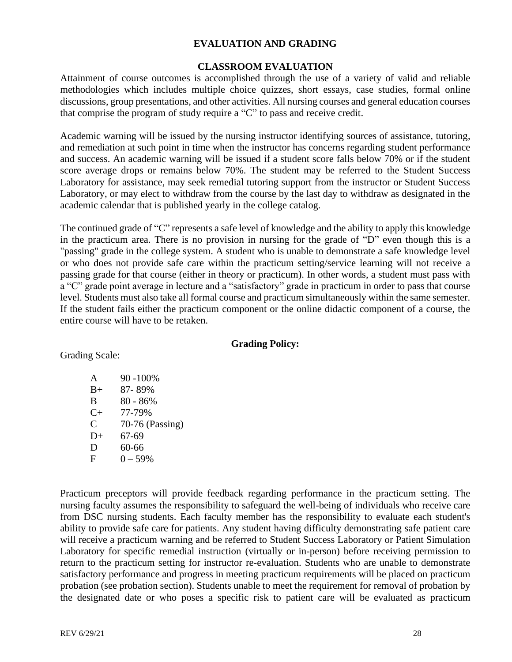# **EVALUATION AND GRADING**

#### **CLASSROOM EVALUATION**

<span id="page-28-0"></span>Attainment of course outcomes is accomplished through the use of a variety of valid and reliable methodologies which includes multiple choice quizzes, short essays, case studies, formal online discussions, group presentations, and other activities. All nursing courses and general education courses that comprise the program of study require a "C" to pass and receive credit.

Academic warning will be issued by the nursing instructor identifying sources of assistance, tutoring, and remediation at such point in time when the instructor has concerns regarding student performance and success. An academic warning will be issued if a student score falls below 70% or if the student score average drops or remains below 70%. The student may be referred to the Student Success Laboratory for assistance, may seek remedial tutoring support from the instructor or Student Success Laboratory, or may elect to withdraw from the course by the last day to withdraw as designated in the academic calendar that is published yearly in the college catalog.

The continued grade of "C" represents a safe level of knowledge and the ability to apply this knowledge in the practicum area. There is no provision in nursing for the grade of "D" even though this is a "passing" grade in the college system. A student who is unable to demonstrate a safe knowledge level or who does not provide safe care within the practicum setting/service learning will not receive a passing grade for that course (either in theory or practicum). In other words, a student must pass with a "C" grade point average in lecture and a "satisfactory" grade in practicum in order to pass that course level. Students must also take all formal course and practicum simultaneously within the same semester. If the student fails either the practicum component or the online didactic component of a course, the entire course will have to be retaken.

#### **Grading Policy:**

Grading Scale:

| A         | 90 -100%        |
|-----------|-----------------|
| $B+$      | 87-89%          |
| B         | $80 - 86%$      |
| $C_{\pm}$ | 77-79%          |
| C         | 70-76 (Passing) |
| $D+$      | 67-69           |
| D         | 60-66           |
| F         | $0 - 59%$       |
|           |                 |

Practicum preceptors will provide feedback regarding performance in the practicum setting. The nursing faculty assumes the responsibility to safeguard the well-being of individuals who receive care from DSC nursing students. Each faculty member has the responsibility to evaluate each student's ability to provide safe care for patients. Any student having difficulty demonstrating safe patient care will receive a practicum warning and be referred to Student Success Laboratory or Patient Simulation Laboratory for specific remedial instruction (virtually or in-person) before receiving permission to return to the practicum setting for instructor re-evaluation. Students who are unable to demonstrate satisfactory performance and progress in meeting practicum requirements will be placed on practicum probation (see probation section). Students unable to meet the requirement for removal of probation by the designated date or who poses a specific risk to patient care will be evaluated as practicum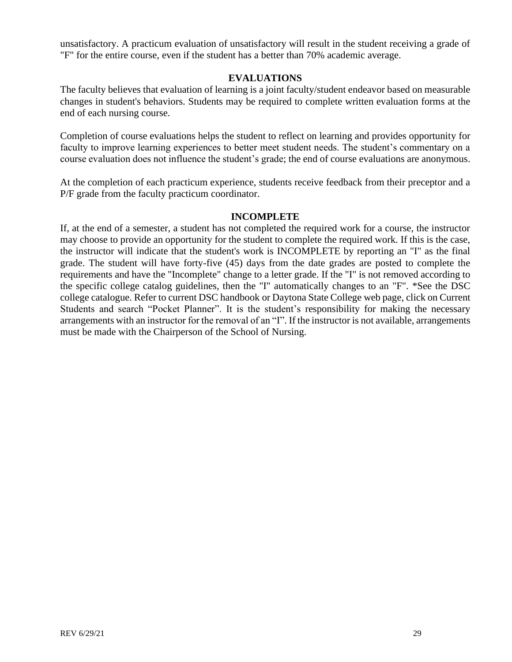unsatisfactory. A practicum evaluation of unsatisfactory will result in the student receiving a grade of "F" for the entire course, even if the student has a better than 70% academic average.

# **EVALUATIONS**

<span id="page-29-0"></span>The faculty believes that evaluation of learning is a joint faculty/student endeavor based on measurable changes in student's behaviors. Students may be required to complete written evaluation forms at the end of each nursing course.

Completion of course evaluations helps the student to reflect on learning and provides opportunity for faculty to improve learning experiences to better meet student needs. The student's commentary on a course evaluation does not influence the student's grade; the end of course evaluations are anonymous.

At the completion of each practicum experience, students receive feedback from their preceptor and a P/F grade from the faculty practicum coordinator.

### **INCOMPLETE**

<span id="page-29-1"></span>If, at the end of a semester, a student has not completed the required work for a course, the instructor may choose to provide an opportunity for the student to complete the required work. If this is the case, the instructor will indicate that the student's work is INCOMPLETE by reporting an "I" as the final grade. The student will have forty-five (45) days from the date grades are posted to complete the requirements and have the "Incomplete" change to a letter grade. If the "I" is not removed according to the specific college catalog guidelines, then the "I" automatically changes to an "F". \*See the DSC college catalogue. Refer to current DSC handbook or Daytona State College web page, click on Current Students and search "Pocket Planner". It is the student's responsibility for making the necessary arrangements with an instructor for the removal of an "I". If the instructor is not available, arrangements must be made with the Chairperson of the School of Nursing.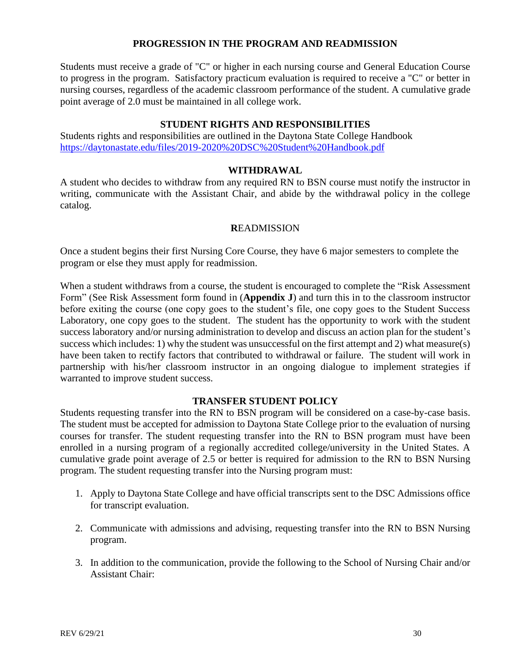# **PROGRESSION IN THE PROGRAM AND READMISSION**

<span id="page-30-0"></span>Students must receive a grade of "C" or higher in each nursing course and General Education Course to progress in the program. Satisfactory practicum evaluation is required to receive a "C" or better in nursing courses, regardless of the academic classroom performance of the student. A cumulative grade point average of 2.0 must be maintained in all college work.

### **STUDENT RIGHTS AND RESPONSIBILITIES**

Students rights and responsibilities are outlined in the Daytona State College Handbook <https://daytonastate.edu/files/2019-2020%20DSC%20Student%20Handbook.pdf>

#### **WITHDRAWAL**

<span id="page-30-1"></span>A student who decides to withdraw from any required RN to BSN course must notify the instructor in writing, communicate with the Assistant Chair, and abide by the withdrawal policy in the college catalog.

#### **R**EADMISSION

<span id="page-30-2"></span>Once a student begins their first Nursing Core Course, they have 6 major semesters to complete the program or else they must apply for readmission.

When a student withdraws from a course, the student is encouraged to complete the "Risk Assessment Form" (See Risk Assessment form found in (**Appendix J**) and turn this in to the classroom instructor before exiting the course (one copy goes to the student's file, one copy goes to the Student Success Laboratory, one copy goes to the student. The student has the opportunity to work with the student success laboratory and/or nursing administration to develop and discuss an action plan for the student's success which includes: 1) why the student was unsuccessful on the first attempt and 2) what measure(s) have been taken to rectify factors that contributed to withdrawal or failure. The student will work in partnership with his/her classroom instructor in an ongoing dialogue to implement strategies if warranted to improve student success.

#### **TRANSFER STUDENT POLICY**

<span id="page-30-3"></span>Students requesting transfer into the RN to BSN program will be considered on a case-by-case basis. The student must be accepted for admission to Daytona State College prior to the evaluation of nursing courses for transfer. The student requesting transfer into the RN to BSN program must have been enrolled in a nursing program of a regionally accredited college/university in the United States. A cumulative grade point average of 2.5 or better is required for admission to the RN to BSN Nursing program. The student requesting transfer into the Nursing program must:

- 1. Apply to Daytona State College and have official transcripts sent to the DSC Admissions office for transcript evaluation.
- 2. Communicate with admissions and advising, requesting transfer into the RN to BSN Nursing program.
- 3. In addition to the communication, provide the following to the School of Nursing Chair and/or Assistant Chair: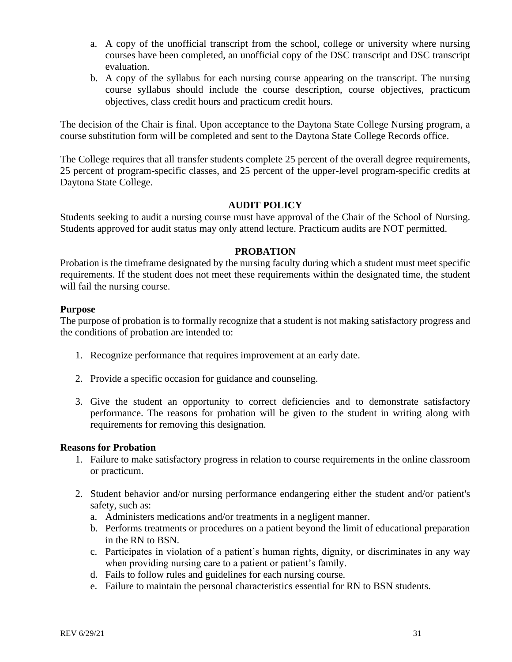- a. A copy of the unofficial transcript from the school, college or university where nursing courses have been completed, an unofficial copy of the DSC transcript and DSC transcript evaluation.
- b. A copy of the syllabus for each nursing course appearing on the transcript. The nursing course syllabus should include the course description, course objectives, practicum objectives, class credit hours and practicum credit hours.

The decision of the Chair is final. Upon acceptance to the Daytona State College Nursing program, a course substitution form will be completed and sent to the Daytona State College Records office.

The College requires that all transfer students complete 25 percent of the overall degree requirements, 25 percent of program-specific classes, and 25 percent of the upper-level program-specific credits at Daytona State College.

# **AUDIT POLICY**

Students seeking to audit a nursing course must have approval of the Chair of the School of Nursing. Students approved for audit status may only attend lecture. Practicum audits are NOT permitted.

### **PROBATION**

<span id="page-31-0"></span>Probation is the timeframe designated by the nursing faculty during which a student must meet specific requirements. If the student does not meet these requirements within the designated time, the student will fail the nursing course.

### **Purpose**

The purpose of probation is to formally recognize that a student is not making satisfactory progress and the conditions of probation are intended to:

- 1. Recognize performance that requires improvement at an early date.
- 2. Provide a specific occasion for guidance and counseling.
- 3. Give the student an opportunity to correct deficiencies and to demonstrate satisfactory performance. The reasons for probation will be given to the student in writing along with requirements for removing this designation.

### **Reasons for Probation**

- 1. Failure to make satisfactory progress in relation to course requirements in the online classroom or practicum.
- 2. Student behavior and/or nursing performance endangering either the student and/or patient's safety, such as:
	- a. Administers medications and/or treatments in a negligent manner.
	- b. Performs treatments or procedures on a patient beyond the limit of educational preparation in the RN to BSN.
	- c. Participates in violation of a patient's human rights, dignity, or discriminates in any way when providing nursing care to a patient or patient's family.
	- d. Fails to follow rules and guidelines for each nursing course.
	- e. Failure to maintain the personal characteristics essential for RN to BSN students.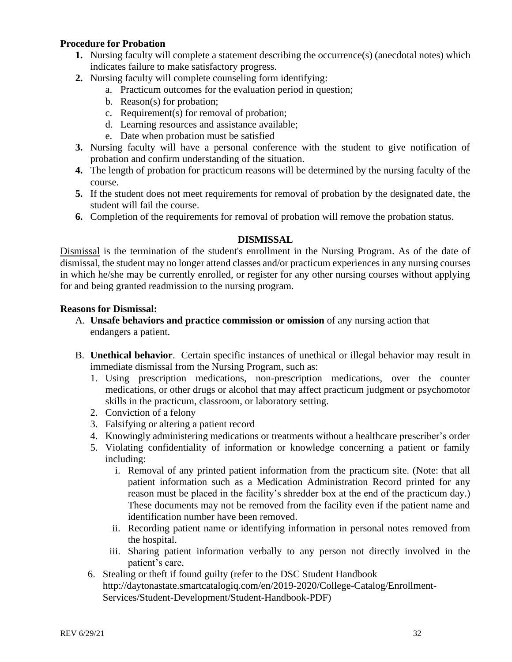# **Procedure for Probation**

- **1.** Nursing faculty will complete a statement describing the occurrence(s) (anecdotal notes) which indicates failure to make satisfactory progress.
- **2.** Nursing faculty will complete counseling form identifying:
	- a. Practicum outcomes for the evaluation period in question;
	- b. Reason(s) for probation;
	- c. Requirement(s) for removal of probation;
	- d. Learning resources and assistance available;
	- e. Date when probation must be satisfied
- **3.** Nursing faculty will have a personal conference with the student to give notification of probation and confirm understanding of the situation.
- **4.** The length of probation for practicum reasons will be determined by the nursing faculty of the course.
- **5.** If the student does not meet requirements for removal of probation by the designated date, the student will fail the course.
- **6.** Completion of the requirements for removal of probation will remove the probation status.

# **DISMISSAL**

<span id="page-32-0"></span>Dismissal is the termination of the student's enrollment in the Nursing Program. As of the date of dismissal, the student may no longer attend classes and/or practicum experiences in any nursing courses in which he/she may be currently enrolled, or register for any other nursing courses without applying for and being granted readmission to the nursing program.

### **Reasons for Dismissal:**

- A. **Unsafe behaviors and practice commission or omission** of any nursing action that endangers a patient.
- B. **Unethical behavior**. Certain specific instances of unethical or illegal behavior may result in immediate dismissal from the Nursing Program, such as:
	- 1. Using prescription medications, non-prescription medications, over the counter medications, or other drugs or alcohol that may affect practicum judgment or psychomotor skills in the practicum, classroom, or laboratory setting.
	- 2. Conviction of a felony
	- 3. Falsifying or altering a patient record
	- 4. Knowingly administering medications or treatments without a healthcare prescriber's order
	- 5. Violating confidentiality of information or knowledge concerning a patient or family including:
		- i. Removal of any printed patient information from the practicum site. (Note: that all patient information such as a Medication Administration Record printed for any reason must be placed in the facility's shredder box at the end of the practicum day.) These documents may not be removed from the facility even if the patient name and identification number have been removed.
		- ii. Recording patient name or identifying information in personal notes removed from the hospital.
		- iii. Sharing patient information verbally to any person not directly involved in the patient's care.
	- 6. Stealing or theft if found guilty (refer to the DSC Student Handbook http://daytonastate.smartcatalogiq.com/en/2019-2020/College-Catalog/Enrollment-Services/Student-Development/Student-Handbook-PDF)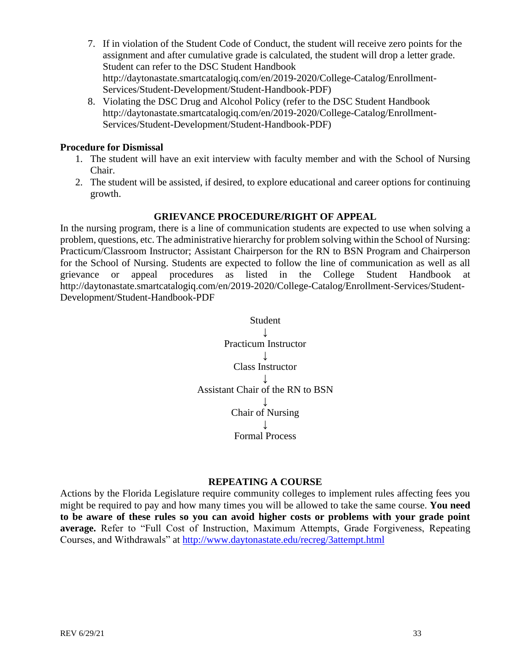- 7. If in violation of the Student Code of Conduct, the student will receive zero points for the assignment and after cumulative grade is calculated, the student will drop a letter grade. Student can refer to the DSC Student Handbook http://daytonastate.smartcatalogiq.com/en/2019-2020/College-Catalog/Enrollment-Services/Student-Development/Student-Handbook-PDF)
- 8. Violating the DSC Drug and Alcohol Policy (refer to the DSC Student Handbook http://daytonastate.smartcatalogiq.com/en/2019-2020/College-Catalog/Enrollment-Services/Student-Development/Student-Handbook-PDF)

### **Procedure for Dismissal**

- 1. The student will have an exit interview with faculty member and with the School of Nursing Chair.
- 2. The student will be assisted, if desired, to explore educational and career options for continuing growth.

### **GRIEVANCE PROCEDURE/RIGHT OF APPEAL**

<span id="page-33-0"></span>In the nursing program, there is a line of communication students are expected to use when solving a problem, questions, etc. The administrative hierarchy for problem solving within the School of Nursing: Practicum/Classroom Instructor; Assistant Chairperson for the RN to BSN Program and Chairperson for the School of Nursing. Students are expected to follow the line of communication as well as all grievance or appeal procedures as listed in the College Student Handbook at http://daytonastate.smartcatalogiq.com/en/2019-2020/College-Catalog/Enrollment-Services/Student-Development/Student-Handbook-PDF



#### **REPEATING A COURSE**

<span id="page-33-1"></span>Actions by the Florida Legislature require community colleges to implement rules affecting fees you might be required to pay and how many times you will be allowed to take the same course. **You need to be aware of these rules so you can avoid higher costs or problems with your grade point average.** Refer to "Full Cost of Instruction, Maximum Attempts, Grade Forgiveness, Repeating Courses, and Withdrawals" at<http://www.daytonastate.edu/recreg/3attempt.html>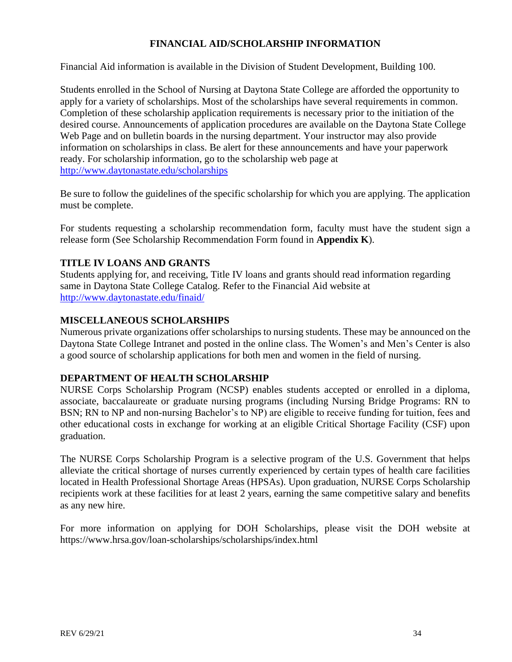# **FINANCIAL AID/SCHOLARSHIP INFORMATION**

<span id="page-34-0"></span>Financial Aid information is available in the Division of Student Development, Building 100.

Students enrolled in the School of Nursing at Daytona State College are afforded the opportunity to apply for a variety of scholarships. Most of the scholarships have several requirements in common. Completion of these scholarship application requirements is necessary prior to the initiation of the desired course. Announcements of application procedures are available on the Daytona State College Web Page and on bulletin boards in the nursing department. Your instructor may also provide information on scholarships in class. Be alert for these announcements and have your paperwork ready. For scholarship information, go to the scholarship web page at <http://www.daytonastate.edu/scholarships>

Be sure to follow the guidelines of the specific scholarship for which you are applying. The application must be complete.

For students requesting a scholarship recommendation form, faculty must have the student sign a release form (See Scholarship Recommendation Form found in **Appendix K**).

# **TITLE IV LOANS AND GRANTS**

Students applying for, and receiving, Title IV loans and grants should read information regarding same in Daytona State College Catalog. Refer to the Financial Aid website at <http://www.daytonastate.edu/finaid/>

# **MISCELLANEOUS SCHOLARSHIPS**

Numerous private organizations offer scholarships to nursing students. These may be announced on the Daytona State College Intranet and posted in the online class. The Women's and Men's Center is also a good source of scholarship applications for both men and women in the field of nursing.

# **DEPARTMENT OF HEALTH SCHOLARSHIP**

NURSE Corps Scholarship Program (NCSP) enables students accepted or enrolled in a diploma, associate, baccalaureate or graduate nursing programs (including Nursing Bridge Programs: RN to BSN; RN to NP and non-nursing Bachelor's to NP) are eligible to receive funding for tuition, fees and other educational costs in exchange for working at an eligible Critical Shortage Facility (CSF) upon graduation.

The NURSE Corps Scholarship Program is a selective program of the U.S. Government that helps alleviate the critical shortage of nurses currently experienced by certain types of health care facilities located in Health Professional Shortage Areas (HPSAs). Upon graduation, NURSE Corps Scholarship recipients work at these facilities for at least 2 years, earning the same competitive salary and benefits as any new hire.

For more information on applying for DOH Scholarships, please visit the DOH website at https://www.hrsa.gov/loan-scholarships/scholarships/index.html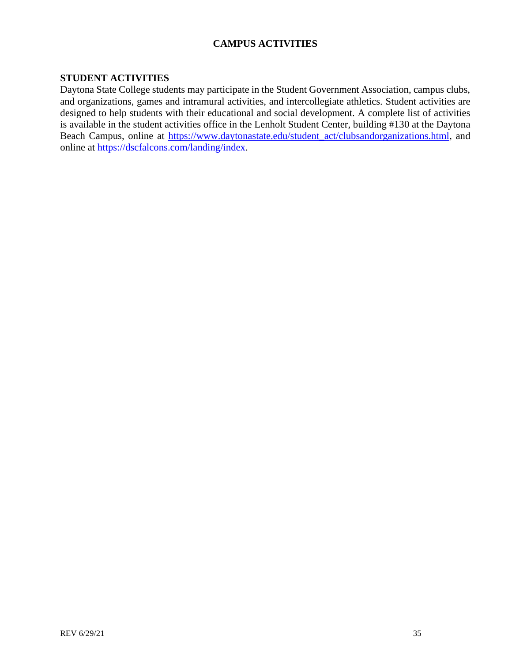# **CAMPUS ACTIVITIES**

# <span id="page-35-1"></span><span id="page-35-0"></span>**STUDENT ACTIVITIES**

Daytona State College students may participate in the Student Government Association, campus clubs, and organizations, games and intramural activities, and intercollegiate athletics. Student activities are designed to help students with their educational and social development. A complete list of activities is available in the student activities office in the Lenholt Student Center, building #130 at the Daytona Beach Campus, online at [https://www.daytonastate.edu/student\\_act/clubsandorganizations.html,](https://www.daytonastate.edu/student_act/clubsandorganizations.html) and online at [https://dscfalcons.com/landing/index.](https://dscfalcons.com/landing/index)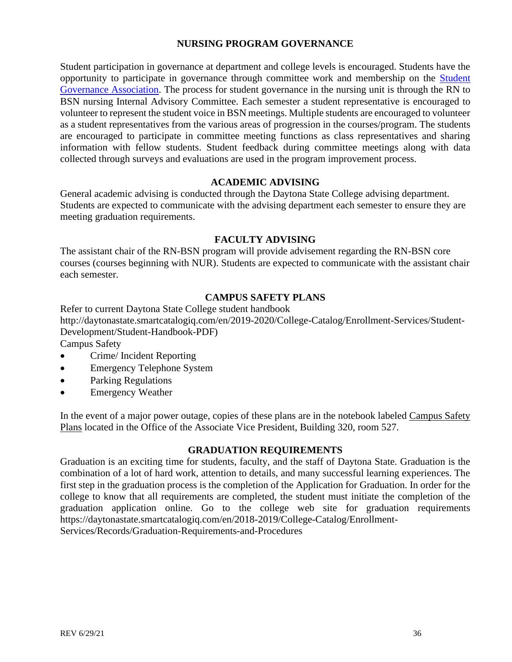# **NURSING PROGRAM GOVERNANCE**

<span id="page-36-0"></span>Student participation in governance at department and college levels is encouraged. Students have the opportunity to participate in governance through committee work and membership on the [Student](http://daytonastate.edu/sga/)  [Governance Association.](http://daytonastate.edu/sga/) The process for student governance in the nursing unit is through the RN to BSN nursing Internal Advisory Committee. Each semester a student representative is encouraged to volunteer to represent the student voice in BSN meetings. Multiple students are encouraged to volunteer as a student representatives from the various areas of progression in the courses/program. The students are encouraged to participate in committee meeting functions as class representatives and sharing information with fellow students. Student feedback during committee meetings along with data collected through surveys and evaluations are used in the program improvement process.

#### **ACADEMIC ADVISING**

<span id="page-36-1"></span>General academic advising is conducted through the Daytona State College advising department. Students are expected to communicate with the advising department each semester to ensure they are meeting graduation requirements.

# **FACULTY ADVISING**

<span id="page-36-2"></span>The assistant chair of the RN-BSN program will provide advisement regarding the RN-BSN core courses (courses beginning with NUR). Students are expected to communicate with the assistant chair each semester.

### **CAMPUS SAFETY PLANS**

<span id="page-36-3"></span>Refer to current Daytona State College student handbook http://daytonastate.smartcatalogiq.com/en/2019-2020/College-Catalog/Enrollment-Services/Student-Development/Student-Handbook-PDF) Campus Safety

- Crime/ Incident Reporting
- Emergency Telephone System
- Parking Regulations
- Emergency Weather

In the event of a major power outage, copies of these plans are in the notebook labeled Campus Safety Plans located in the Office of the Associate Vice President, Building 320, room 527.

### **GRADUATION REQUIREMENTS**

<span id="page-36-4"></span>Graduation is an exciting time for students, faculty, and the staff of Daytona State. Graduation is the combination of a lot of hard work, attention to details, and many successful learning experiences. The first step in the graduation process is the completion of the Application for Graduation. In order for the college to know that all requirements are completed, the student must initiate the completion of the graduation application online. Go to the college web site for graduation requirements https://daytonastate.smartcatalogiq.com/en/2018-2019/College-Catalog/Enrollment-Services/Records/Graduation-Requirements-and-Procedures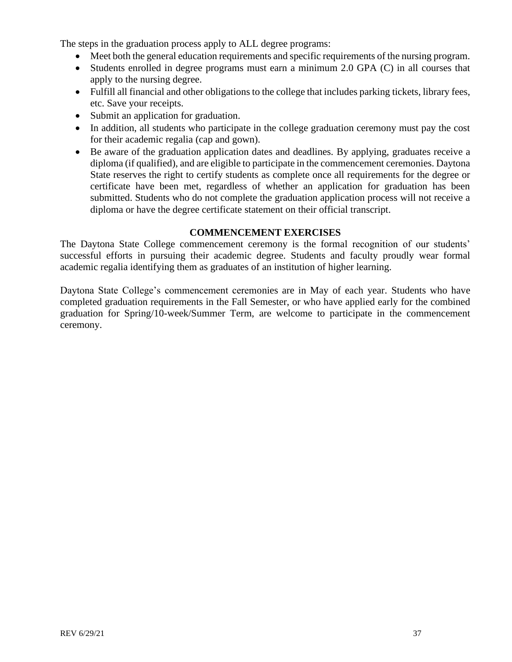The steps in the graduation process apply to ALL degree programs:

- Meet both the general education requirements and specific requirements of the nursing program.
- Students enrolled in degree programs must earn a minimum 2.0 GPA (C) in all courses that apply to the nursing degree.
- Fulfill all financial and other obligations to the college that includes parking tickets, library fees, etc. Save your receipts.
- Submit an application for graduation.
- In addition, all students who participate in the college graduation ceremony must pay the cost for their academic regalia (cap and gown).
- Be aware of the graduation application dates and deadlines. By applying, graduates receive a diploma (if qualified), and are eligible to participate in the commencement ceremonies. Daytona State reserves the right to certify students as complete once all requirements for the degree or certificate have been met, regardless of whether an application for graduation has been submitted. Students who do not complete the graduation application process will not receive a diploma or have the degree certificate statement on their official transcript.

### **COMMENCEMENT EXERCISES**

<span id="page-37-0"></span>The Daytona State College commencement ceremony is the formal recognition of our students' successful efforts in pursuing their academic degree. Students and faculty proudly wear formal academic regalia identifying them as graduates of an institution of higher learning.

Daytona State College's commencement ceremonies are in May of each year. Students who have completed graduation requirements in the Fall Semester, or who have applied early for the combined graduation for Spring/10-week/Summer Term, are welcome to participate in the commencement ceremony.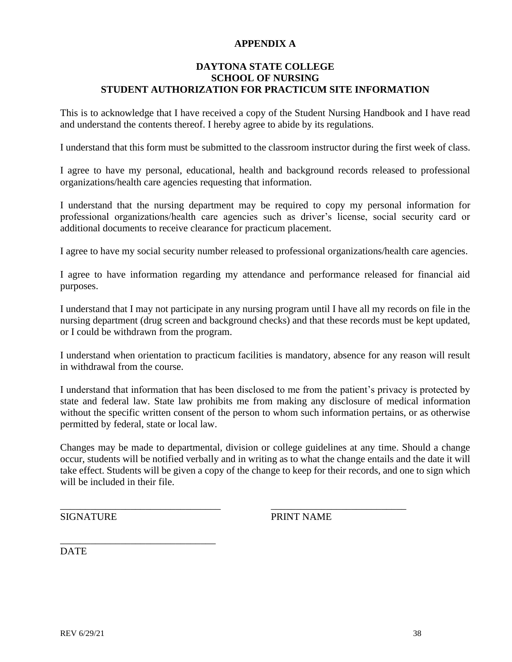# **APPENDIX A**

### <span id="page-38-0"></span>**DAYTONA STATE COLLEGE SCHOOL OF NURSING STUDENT AUTHORIZATION FOR PRACTICUM SITE INFORMATION**

This is to acknowledge that I have received a copy of the Student Nursing Handbook and I have read and understand the contents thereof. I hereby agree to abide by its regulations.

I understand that this form must be submitted to the classroom instructor during the first week of class.

I agree to have my personal, educational, health and background records released to professional organizations/health care agencies requesting that information.

I understand that the nursing department may be required to copy my personal information for professional organizations/health care agencies such as driver's license, social security card or additional documents to receive clearance for practicum placement.

I agree to have my social security number released to professional organizations/health care agencies.

I agree to have information regarding my attendance and performance released for financial aid purposes.

I understand that I may not participate in any nursing program until I have all my records on file in the nursing department (drug screen and background checks) and that these records must be kept updated, or I could be withdrawn from the program.

I understand when orientation to practicum facilities is mandatory, absence for any reason will result in withdrawal from the course.

I understand that information that has been disclosed to me from the patient's privacy is protected by state and federal law. State law prohibits me from making any disclosure of medical information without the specific written consent of the person to whom such information pertains, or as otherwise permitted by federal, state or local law.

Changes may be made to departmental, division or college guidelines at any time. Should a change occur, students will be notified verbally and in writing as to what the change entails and the date it will take effect. Students will be given a copy of the change to keep for their records, and one to sign which will be included in their file.

\_\_\_\_\_\_\_\_\_\_\_\_\_\_\_\_\_\_\_\_\_\_\_\_\_\_\_\_\_\_\_\_ \_\_\_\_\_\_\_\_\_\_\_\_\_\_\_\_\_\_\_\_\_\_\_\_\_\_\_

\_\_\_\_\_\_\_\_\_\_\_\_\_\_\_\_\_\_\_\_\_\_\_\_\_\_\_\_\_\_\_

SIGNATURE PRINT NAME

DATE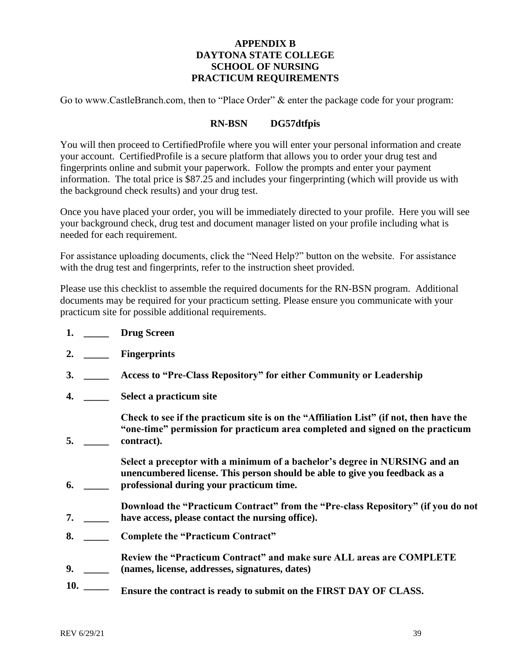# **APPENDIX B DAYTONA STATE COLLEGE SCHOOL OF NURSING PRACTICUM REQUIREMENTS**

<span id="page-39-0"></span>Go to www.CastleBranch.com, then to "Place Order" & enter the package code for your program:

### **RN-BSN DG57dtfpis**

You will then proceed to CertifiedProfile where you will enter your personal information and create your account. CertifiedProfile is a secure platform that allows you to order your drug test and fingerprints online and submit your paperwork. Follow the prompts and enter your payment information. The total price is \$87.25 and includes your fingerprinting (which will provide us with the background check results) and your drug test.

Once you have placed your order, you will be immediately directed to your profile. Here you will see your background check, drug test and document manager listed on your profile including what is needed for each requirement.

For assistance uploading documents, click the "Need Help?" button on the website. For assistance with the drug test and fingerprints, refer to the instruction sheet provided.

Please use this checklist to assemble the required documents for the RN-BSN program. Additional documents may be required for your practicum setting. Please ensure you communicate with your practicum site for possible additional requirements.

- **1. \_\_\_\_\_ Drug Screen**
- **2. \_\_\_\_\_ Fingerprints**
- **3. \_\_\_\_\_ Access to "Pre-Class Repository" for either Community or Leadership**
- **4. \_\_\_\_\_ Select a practicum site**

**5. \_\_\_\_\_ Check to see if the practicum site is on the "Affiliation List" (if not, then have the "one-time" permission for practicum area completed and signed on the practicum contract).** 

**6. \_\_\_\_\_ Select a preceptor with a minimum of a bachelor's degree in NURSING and an unencumbered license. This person should be able to give you feedback as a professional during your practicum time.** 

**7. \_\_\_\_\_ Download the "Practicum Contract" from the "Pre-class Repository" (if you do not have access, please contact the nursing office).**

- **8. \_\_\_\_\_ Complete the "Practicum Contract"**
- **9. \_\_\_\_\_ Review the "Practicum Contract" and make sure ALL areas are COMPLETE (names, license, addresses, signatures, dates)**
- **10. \_\_\_\_\_ Ensure the contract is ready to submit on the FIRST DAY OF CLASS.**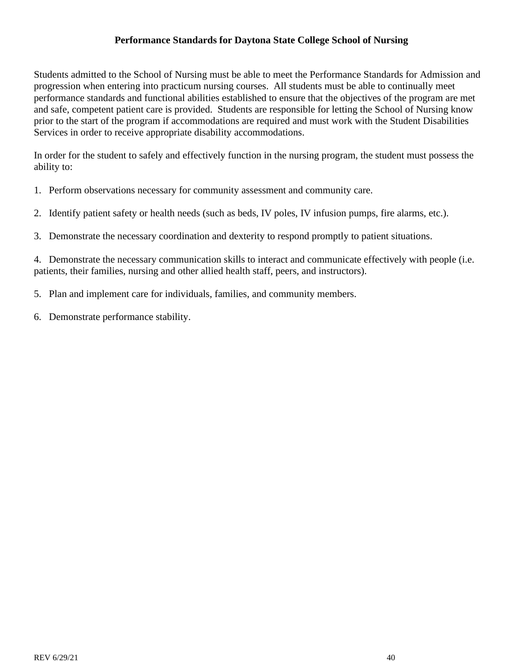# **Performance Standards for Daytona State College School of Nursing**

Students admitted to the School of Nursing must be able to meet the Performance Standards for Admission and progression when entering into practicum nursing courses. All students must be able to continually meet performance standards and functional abilities established to ensure that the objectives of the program are met and safe, competent patient care is provided. Students are responsible for letting the School of Nursing know prior to the start of the program if accommodations are required and must work with the Student Disabilities Services in order to receive appropriate disability accommodations.

In order for the student to safely and effectively function in the nursing program, the student must possess the ability to:

- 1. Perform observations necessary for community assessment and community care.
- 2. Identify patient safety or health needs (such as beds, IV poles, IV infusion pumps, fire alarms, etc.).
- 3. Demonstrate the necessary coordination and dexterity to respond promptly to patient situations.

4. Demonstrate the necessary communication skills to interact and communicate effectively with people (i.e. patients, their families, nursing and other allied health staff, peers, and instructors).

- 5. Plan and implement care for individuals, families, and community members.
- 6. Demonstrate performance stability.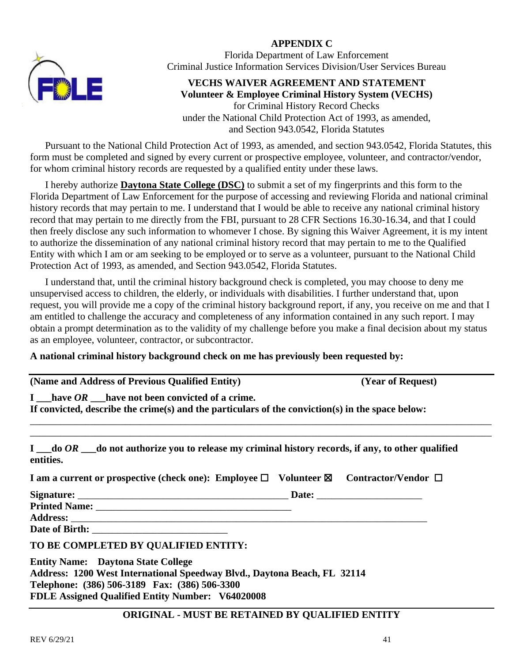# **APPENDIX C**



<span id="page-41-0"></span>Florida Department of Law Enforcement Criminal Justice Information Services Division/User Services Bureau

### **VECHS WAIVER AGREEMENT AND STATEMENT Volunteer & Employee Criminal History System (VECHS)** for Criminal History Record Checks under the National Child Protection Act of 1993, as amended, and Section 943.0542, Florida Statutes

Pursuant to the National Child Protection Act of 1993, as amended, and section 943.0542, Florida Statutes, this form must be completed and signed by every current or prospective employee, volunteer, and contractor/vendor, for whom criminal history records are requested by a qualified entity under these laws.

I hereby authorize **Daytona State College (DSC)** to submit a set of my fingerprints and this form to the Florida Department of Law Enforcement for the purpose of accessing and reviewing Florida and national criminal history records that may pertain to me. I understand that I would be able to receive any national criminal history record that may pertain to me directly from the FBI, pursuant to 28 CFR Sections 16.30-16.34, and that I could then freely disclose any such information to whomever I chose. By signing this Waiver Agreement, it is my intent to authorize the dissemination of any national criminal history record that may pertain to me to the Qualified Entity with which I am or am seeking to be employed or to serve as a volunteer, pursuant to the National Child Protection Act of 1993, as amended, and Section 943.0542, Florida Statutes.

I understand that, until the criminal history background check is completed, you may choose to deny me unsupervised access to children, the elderly, or individuals with disabilities. I further understand that, upon request, you will provide me a copy of the criminal history background report, if any, you receive on me and that I am entitled to challenge the accuracy and completeness of any information contained in any such report. I may obtain a prompt determination as to the validity of my challenge before you make a final decision about my status as an employee, volunteer, contractor, or subcontractor.

# **A national criminal history background check on me has previously been requested by:**

|  | (Name and Address of Previous Qualified Entity) |  |  |  |
|--|-------------------------------------------------|--|--|--|
|  |                                                 |  |  |  |

**(Year of Request)** 

**I \_\_\_have** *OR* **\_\_\_have not been convicted of a crime.**

**If convicted, describe the crime(s) and the particulars of the conviction(s) in the space below:** \_\_\_\_\_\_\_\_\_\_\_\_\_\_\_\_\_\_\_\_\_\_\_\_\_\_\_\_\_\_\_\_\_\_\_\_\_\_\_\_\_\_\_\_\_\_\_\_\_\_\_\_\_\_\_\_\_\_\_\_\_\_\_\_\_\_\_\_\_\_\_\_\_\_\_\_\_\_\_\_\_\_\_\_\_\_\_\_\_\_\_\_

**I \_\_\_do** *OR* **\_\_\_do not authorize you to release my criminal history records, if any, to other qualified entities.**

\_\_\_\_\_\_\_\_\_\_\_\_\_\_\_\_\_\_\_\_\_\_\_\_\_\_\_\_\_\_\_\_\_\_\_\_\_\_\_\_\_\_\_\_\_\_\_\_\_\_\_\_\_\_\_\_\_\_\_\_\_\_\_\_\_\_\_\_\_\_\_\_\_\_\_\_\_\_\_\_\_\_\_\_\_\_\_\_\_\_\_\_

| I am a current or prospective (check one): Employee $\Box$ Volunteer $\boxtimes$ |              | Contractor/Vendor $\Box$ |
|----------------------------------------------------------------------------------|--------------|--------------------------|
| Signature:                                                                       | <b>Date:</b> |                          |

**Printed Name:** \_\_\_\_\_\_\_\_\_\_\_\_\_\_\_\_\_\_\_\_\_\_\_\_\_\_\_\_\_\_\_\_\_\_\_\_\_\_\_ Address:

Date of Birth:

**TO BE COMPLETED BY QUALIFIED ENTITY:**

**Entity Name: Daytona State College Address: 1200 West International Speedway Blvd., Daytona Beach, FL 32114 Telephone: (386) 506-3189 Fax: (386) 506-3300 FDLE Assigned Qualified Entity Number: V64020008**

# **ORIGINAL - MUST BE RETAINED BY QUALIFIED ENTITY**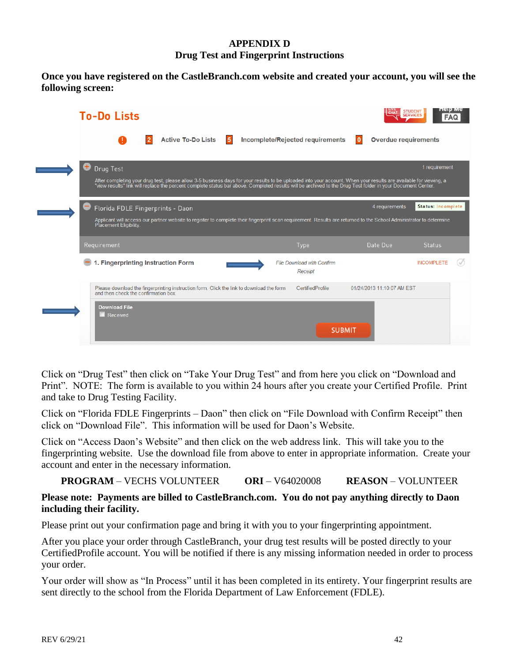# **APPENDIX D Drug Test and Fingerprint Instructions**

<span id="page-42-0"></span>**Once you have registered on the CastleBranch.com website and created your account, you will see the following screen:**

|    | <b>To-Do Lists</b>                                                                                                              |                           |            |                                                                                                                                                                                                                                                                                                                                  |               |                             | <b>STUDENT</b><br><b>SERVICES</b><br><b>FAQ</b> | петр ме |
|----|---------------------------------------------------------------------------------------------------------------------------------|---------------------------|------------|----------------------------------------------------------------------------------------------------------------------------------------------------------------------------------------------------------------------------------------------------------------------------------------------------------------------------------|---------------|-----------------------------|-------------------------------------------------|---------|
|    |                                                                                                                                 | <b>Active To-Do Lists</b> | $\sqrt{5}$ | Incomplete/Rejected requirements                                                                                                                                                                                                                                                                                                 |               | <b>Overdue requirements</b> |                                                 |         |
| ÷, | Drug Test                                                                                                                       |                           |            | After completing your drug test, please allow 3-5 business days for your results to be uploaded into your account. When your results are available for viewing, a<br>"view results" link will replace the percent complete status bar above. Completed results will be archived to the Drug Test folder in your Document Center. |               |                             | 1 requirement                                   |         |
|    | Florida FDLE Fingerprints - Daon<br>Placement Eligibility.                                                                      |                           |            | Applicant will access our partner website to register to complete their fingerprint scan requirement. Results are returned to the School Administrator to determine                                                                                                                                                              |               | 4 requirements              | Status: Incomplete                              |         |
|    | Requirement                                                                                                                     |                           |            | <b>Type</b>                                                                                                                                                                                                                                                                                                                      |               | Date Due                    | <b>Status</b>                                   |         |
|    | 1. Fingerprinting Instruction Form                                                                                              |                           |            | <b>File Download with Confirm</b><br>Receipt                                                                                                                                                                                                                                                                                     |               |                             | <b>INCOMPLETE</b>                               |         |
|    | Please download the fingerprinting instruction form. Click the link to download the form<br>and then check the confirmation box |                           |            | CertifiedProfile                                                                                                                                                                                                                                                                                                                 |               | 01/24/2013 11:10:07 AM EST  |                                                 |         |
|    | <b>Download File</b><br>$\blacksquare$ Received                                                                                 |                           |            |                                                                                                                                                                                                                                                                                                                                  | <b>SUBMIT</b> |                             |                                                 |         |
|    |                                                                                                                                 |                           |            |                                                                                                                                                                                                                                                                                                                                  |               |                             |                                                 |         |

Click on "Drug Test" then click on "Take Your Drug Test" and from here you click on "Download and Print". NOTE: The form is available to you within 24 hours after you create your Certified Profile. Print and take to Drug Testing Facility.

Click on "Florida FDLE Fingerprints – Daon" then click on "File Download with Confirm Receipt" then click on "Download File". This information will be used for Daon's Website.

Click on "Access Daon's Website" and then click on the web address link. This will take you to the fingerprinting website. Use the download file from above to enter in appropriate information. Create your account and enter in the necessary information.

**PROGRAM** – VECHS VOLUNTEER **ORI** – V64020008 **REASON** – VOLUNTEER

# **Please note: Payments are billed to CastleBranch.com. You do not pay anything directly to Daon including their facility.**

Please print out your confirmation page and bring it with you to your fingerprinting appointment.

After you place your order through CastleBranch, your drug test results will be posted directly to your CertifiedProfile account. You will be notified if there is any missing information needed in order to process your order.

Your order will show as "In Process" until it has been completed in its entirety. Your fingerprint results are sent directly to the school from the Florida Department of Law Enforcement (FDLE).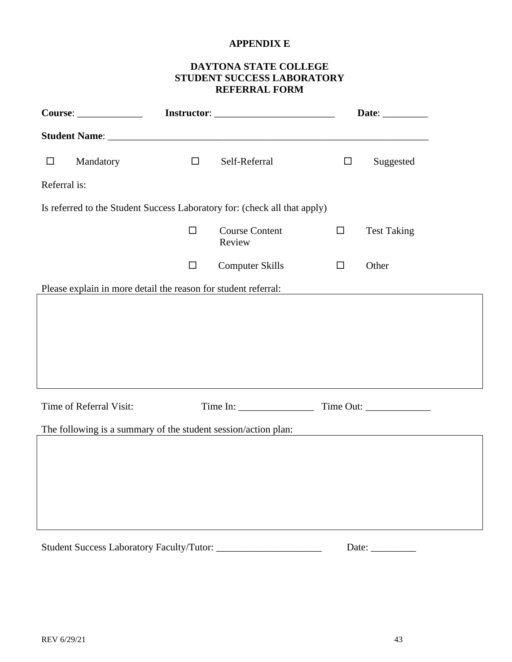# **APPENDIX E**

# **DAYTONA STATE COLLEGE STUDENT SUCCESS LABORATORY REFERRAL FORM**

<span id="page-43-0"></span>

|              |                                                                |        |                                                                           |        | Date: $\_\_$       |
|--------------|----------------------------------------------------------------|--------|---------------------------------------------------------------------------|--------|--------------------|
|              |                                                                |        |                                                                           |        |                    |
| $\Box$       | Mandatory                                                      | $\Box$ | Self-Referral                                                             | $\Box$ | Suggested          |
| Referral is: |                                                                |        |                                                                           |        |                    |
|              |                                                                |        | Is referred to the Student Success Laboratory for: (check all that apply) |        |                    |
|              |                                                                | $\Box$ | <b>Course Content</b><br>Review                                           | $\Box$ | <b>Test Taking</b> |
|              |                                                                | $\Box$ | <b>Computer Skills</b>                                                    | $\Box$ | Other              |
|              | Please explain in more detail the reason for student referral: |        |                                                                           |        |                    |
|              |                                                                |        |                                                                           |        |                    |
|              | Time of Referral Visit:                                        |        |                                                                           |        |                    |
|              | The following is a summary of the student session/action plan: |        |                                                                           |        |                    |
|              |                                                                |        |                                                                           |        |                    |
|              |                                                                |        |                                                                           |        |                    |
|              |                                                                |        |                                                                           |        |                    |
|              |                                                                |        |                                                                           |        |                    |
|              |                                                                |        |                                                                           |        | Date: $\_\_$       |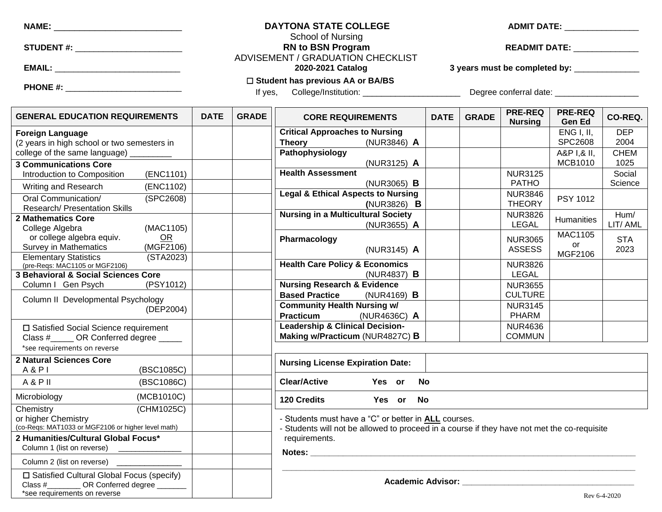STUDENT #: **All any student and all any student and READMIT DATE: READMIT DATE: READMIT DATE:**  $\blacksquare$ 

#### **NAME:** \_\_\_\_\_\_\_\_\_\_\_\_\_\_\_\_\_\_\_\_\_\_\_\_\_ **DAYTONA STATE COLLEGE ADMIT DATE:** \_\_\_\_\_\_\_\_\_\_\_\_\_\_\_\_ School of Nursing

ADVISEMENT / GRADUATION CHECKLIST

**EMAIL:** \_\_\_\_\_\_\_\_\_\_\_\_\_\_\_\_\_\_\_\_\_\_\_\_\_\_\_ **2020-2021 Catalog 3 years must be completed by:** \_\_\_\_\_\_\_\_\_\_\_\_\_\_

**PHONE #:** \_\_\_\_\_\_\_\_\_\_\_\_\_\_\_\_\_\_\_\_\_\_\_\_\_

#### ☐ **Student has previous AA or BA/BS**

If yes, College/Institution: \_\_\_\_\_\_\_\_\_\_\_\_\_\_\_\_\_\_\_\_\_ Degree conferral date: \_\_\_\_\_\_\_\_\_\_\_\_\_\_\_\_\_\_

<span id="page-44-0"></span>

| <b>GENERAL EDUCATION REQUIREMENTS</b>              | <b>DATE</b> | <b>GRADE</b> | <b>CORE REQUIREMENTS</b>                                                                    | <b>DATE</b> | <b>GRADE</b> | <b>PRE-REQ</b><br><b>Nursing</b>    | <b>PRE-REQ</b><br><b>Gen Ed</b> | CO-REQ.      |
|----------------------------------------------------|-------------|--------------|---------------------------------------------------------------------------------------------|-------------|--------------|-------------------------------------|---------------------------------|--------------|
| <b>Foreign Language</b>                            |             |              | <b>Critical Approaches to Nursing</b>                                                       |             |              |                                     | <b>ENG I, II,</b>               | <b>DEP</b>   |
| (2 years in high school or two semesters in        |             |              | <b>Theory</b><br>(NUR3846) A                                                                |             |              |                                     | <b>SPC2608</b>                  | 2004         |
| college of the same language)                      |             |              | Pathophysiology                                                                             |             |              |                                     | A&P I.& II.                     | <b>CHEM</b>  |
| <b>3 Communications Core</b>                       |             |              | (NUR3125) A                                                                                 |             |              |                                     | <b>MCB1010</b>                  | 1025         |
| (ENC1101)<br>Introduction to Composition           |             |              | <b>Health Assessment</b>                                                                    |             |              | <b>NUR3125</b>                      |                                 | Social       |
| (ENC1102)<br>Writing and Research                  |             |              | $(NUR3065)$ <b>B</b>                                                                        |             |              | <b>PATHO</b>                        |                                 | Science      |
| Oral Communication/<br>(SPC2608)                   |             |              | <b>Legal &amp; Ethical Aspects to Nursing</b>                                               |             |              | <b>NUR3846</b>                      | PSY 1012                        |              |
| <b>Research/ Presentation Skills</b>               |             |              | $(NUR3826)$ <b>B</b>                                                                        |             |              | <b>THEORY</b>                       |                                 |              |
| <b>2 Mathematics Core</b>                          |             |              | <b>Nursing in a Multicultural Society</b>                                                   |             |              | <b>NUR3826</b>                      | Humanities                      | Hum/         |
| (MAC1105)<br>College Algebra                       |             |              | (NUR3655) A                                                                                 |             |              | <b>LEGAL</b>                        |                                 | LIT/AML      |
| or college algebra equiv.<br><b>OR</b>             |             |              | Pharmacology                                                                                |             |              | <b>NUR3065</b>                      | <b>MAC1105</b>                  | <b>STA</b>   |
| (MGF2106)<br><b>Survey in Mathematics</b>          |             |              | (NUR3145) A                                                                                 |             |              | <b>ASSESS</b>                       | or                              | 2023         |
| <b>Elementary Statistics</b><br>(STA2023)          |             |              |                                                                                             |             |              |                                     | MGF2106                         |              |
| (pre-Reqs: MAC1105 or MGF2106)                     |             |              | <b>Health Care Policy &amp; Economics</b>                                                   |             |              | <b>NUR3826</b>                      |                                 |              |
| 3 Behavioral & Social Sciences Core                |             |              | (NUR4837) <b>B</b>                                                                          |             |              | <b>LEGAL</b>                        |                                 |              |
| (PSY1012)<br>Column I Gen Psych                    |             |              | <b>Nursing Research &amp; Evidence</b><br><b>Based Practice</b>                             |             |              | <b>NUR3655</b><br><b>CULTURE</b>    |                                 |              |
| Column II Developmental Psychology                 |             |              | (NUR4169) <b>B</b><br><b>Community Health Nursing w/</b>                                    |             |              |                                     |                                 |              |
| (DEP2004)                                          |             |              | (NUR4636C) A<br><b>Practicum</b>                                                            |             |              | <b>NUR3145</b><br><b>PHARM</b>      |                                 |              |
|                                                    |             |              | <b>Leadership &amp; Clinical Decision-</b>                                                  |             |              | <b>NUR4636</b>                      |                                 |              |
| □ Satisfied Social Science requirement             |             |              | Making w/Practicum (NUR4827C) B                                                             |             |              | <b>COMMUN</b>                       |                                 |              |
| Class # OR Conferred degree                        |             |              |                                                                                             |             |              |                                     |                                 |              |
| *see requirements on reverse                       |             |              |                                                                                             |             |              |                                     |                                 |              |
| 2 Natural Sciences Core                            |             |              | <b>Nursing License Expiration Date:</b>                                                     |             |              |                                     |                                 |              |
| A & P<br>(BSC1085C)                                |             |              |                                                                                             |             |              |                                     |                                 |              |
| A & P II<br>(BSC1086C)                             |             |              | <b>Clear/Active</b><br>Yes or                                                               | <b>No</b>   |              |                                     |                                 |              |
| (MCB1010C)<br>Microbiology                         |             |              | 120 Credits<br>Yes or No                                                                    |             |              |                                     |                                 |              |
| (CHM1025C)<br>Chemistry                            |             |              |                                                                                             |             |              |                                     |                                 |              |
| or higher Chemistry                                |             |              | - Students must have a "C" or better in <b>ALL</b> courses.                                 |             |              |                                     |                                 |              |
| (co-Reqs: MAT1033 or MGF2106 or higher level math) |             |              | - Students will not be allowed to proceed in a course if they have not met the co-requisite |             |              |                                     |                                 |              |
| 2 Humanities/Cultural Global Focus*                |             |              | requirements.                                                                               |             |              |                                     |                                 |              |
| Column 1 (list on reverse)                         |             |              |                                                                                             |             |              |                                     |                                 |              |
| Column 2 (list on reverse) ________________        |             |              |                                                                                             |             |              |                                     |                                 |              |
| □ Satisfied Cultural Global Focus (specify)        |             |              |                                                                                             |             |              |                                     |                                 |              |
| Class #__________ OR Conferred degree _______      |             |              |                                                                                             |             |              | Academic Advisor: Academic Advisor: |                                 |              |
| *see requirements on reverse                       |             |              |                                                                                             |             |              |                                     |                                 | Rev 6-4-2020 |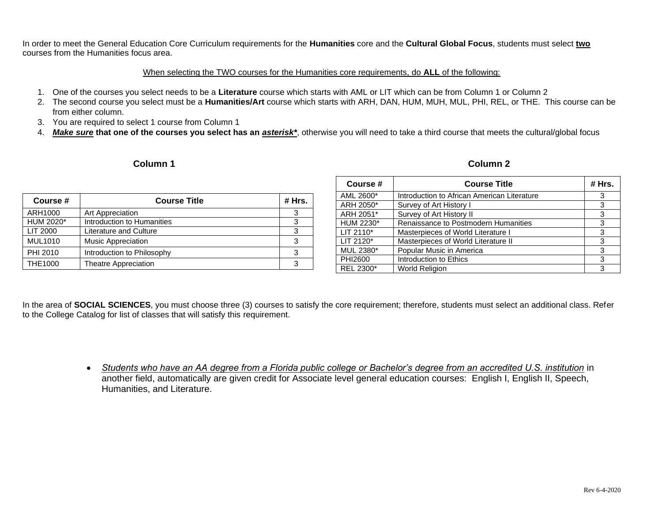In order to meet the General Education Core Curriculum requirements for the **Humanities** core and the **Cultural Global Focus**, students must select **two**  courses from the Humanities focus area.

#### When selecting the TWO courses for the Humanities core requirements, do **ALL** of the following:

- 1. One of the courses you select needs to be a **Literature** course which starts with AML or LIT which can be from Column 1 or Column 2
- 2. The second course you select must be a **Humanities/Art** course which starts with ARH, DAN, HUM, MUH, MUL, PHI, REL, or THE. This course can be from either column.
- 3. You are required to select 1 course from Column 1
- 4. *Make sure* **that one of the courses you select has an** *asterisk\**, otherwise you will need to take a third course that meets the cultural/global focus

#### **Column 1 Column 2**

| Column 2 |
|----------|
|          |

| Course #       | <b>Course Title</b>        | # Hrs. |
|----------------|----------------------------|--------|
| ARH1000        | Art Appreciation           | 3      |
| HUM 2020*      | Introduction to Humanities | 3      |
| LIT 2000       | Literature and Culture     | 3      |
| <b>MUL1010</b> | <b>Music Appreciation</b>  | 3      |
| PHI 2010       | Introduction to Philosophy | 3      |
| <b>THE1000</b> | Theatre Appreciation       | 3      |

| Course #    | <b>Course Title</b>                         | # Hrs. |
|-------------|---------------------------------------------|--------|
| AML 2600*   | Introduction to African American Literature | 3      |
| ARH 2050*   | Survey of Art History I                     | 3      |
| ARH 2051*   | Survey of Art History II                    | 3      |
| HUM 2230*   | Renaissance to Postmodern Humanities        | 3      |
| $LIT 2110*$ | Masterpieces of World Literature I          | 3      |
| LIT 2120*   | Masterpieces of World Literature II         | 3      |
| MUL 2380*   | Popular Music in America                    | 3      |
| PHI2600     | Introduction to Ethics                      | 3      |
| REL 2300*   | <b>World Religion</b>                       | 3      |

In the area of **SOCIAL SCIENCES**, you must choose three (3) courses to satisfy the core requirement; therefore, students must select an additional class. Refer to the College Catalog for list of classes that will satisfy this requirement.

> • *Students who have an AA degree from a Florida public college or Bachelor's degree from an accredited U.S. institution* in another field, automatically are given credit for Associate level general education courses: English I, English II, Speech, Humanities, and Literature.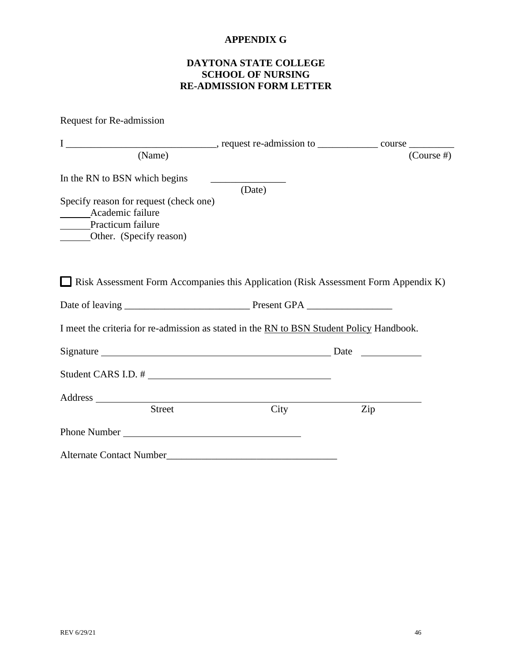# **APPENDIX G**

# **DAYTONA STATE COLLEGE SCHOOL OF NURSING RE-ADMISSION FORM LETTER**

<span id="page-46-0"></span>

| Request for Re-admission                                                                                   |        |               |
|------------------------------------------------------------------------------------------------------------|--------|---------------|
|                                                                                                            |        |               |
| (Name)                                                                                                     |        | $(Course \#)$ |
| In the RN to BSN which begins                                                                              | (Date) |               |
| Specify reason for request (check one)<br>Academic failure<br>Practicum failure<br>Other. (Specify reason) |        |               |
| $\Box$ Risk Assessment Form Accompanies this Application (Risk Assessment Form Appendix K)                 |        |               |
|                                                                                                            |        |               |
| I meet the criteria for re-admission as stated in the RN to BSN Student Policy Handbook.                   |        |               |
|                                                                                                            |        |               |
|                                                                                                            |        |               |
|                                                                                                            |        |               |
| <b>Street</b>                                                                                              | City   | Zip           |
| Phone Number <b>Manual</b>                                                                                 |        |               |
| <b>Alternate Contact Number</b>                                                                            |        |               |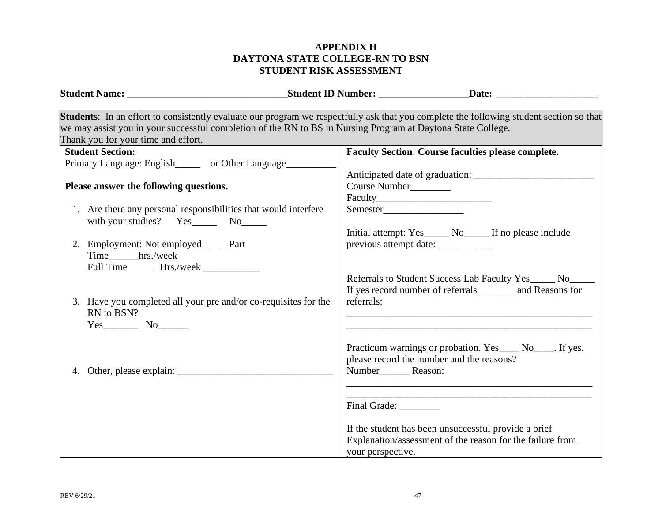# <span id="page-47-0"></span>**APPENDIX H DAYTONA STATE COLLEGE-RN TO BSN STUDENT RISK ASSESSMENT**

|                                                                                                                                                                                                                                                                                                 | <b>Student ID Number:</b> Date: Date:                                                                                                                                                                                                                                                                                      |
|-------------------------------------------------------------------------------------------------------------------------------------------------------------------------------------------------------------------------------------------------------------------------------------------------|----------------------------------------------------------------------------------------------------------------------------------------------------------------------------------------------------------------------------------------------------------------------------------------------------------------------------|
| we may assist you in your successful completion of the RN to BS in Nursing Program at Daytona State College.<br>Thank you for your time and effort.                                                                                                                                             | Students: In an effort to consistently evaluate our program we respectfully ask that you complete the following student section so that                                                                                                                                                                                    |
| <b>Student Section:</b><br>Primary Language: English________ or Other Language____________<br>Please answer the following questions.<br>1. Are there any personal responsibilities that would interfere<br>with your studies? Yes_________ No________<br>2. Employment: Not employed______ Part | <b>Faculty Section: Course faculties please complete.</b><br>Course Number<br>Initial attempt: Yes_______ No_______ If no please include<br>previous attempt date: ___________                                                                                                                                             |
| Time hrs./week<br>3. Have you completed all your pre and/or co-requisites for the<br>RN to BSN?<br>$Yes$ No $No$                                                                                                                                                                                | Referrals to Student Success Lab Faculty Yes_____ No___<br>If yes record number of referrals ________ and Reasons for<br>referrals:<br><u> 1989 - Johann Barbara, martxa alemaniar argumento de la contrada de la contrada de la contrada de la contrad</u>                                                                |
|                                                                                                                                                                                                                                                                                                 | Practicum warnings or probation. Yes_____ No_____. If yes,<br>please record the number and the reasons?<br>Number Reason:<br><u> 1989 - Johann Barn, amerikan berkema di sebagai berkema di sebagai berkema di sebagai berkema di sebagai berk</u><br>Final Grade:<br>If the student has been unsuccessful provide a brief |
|                                                                                                                                                                                                                                                                                                 | Explanation/assessment of the reason for the failure from<br>your perspective.                                                                                                                                                                                                                                             |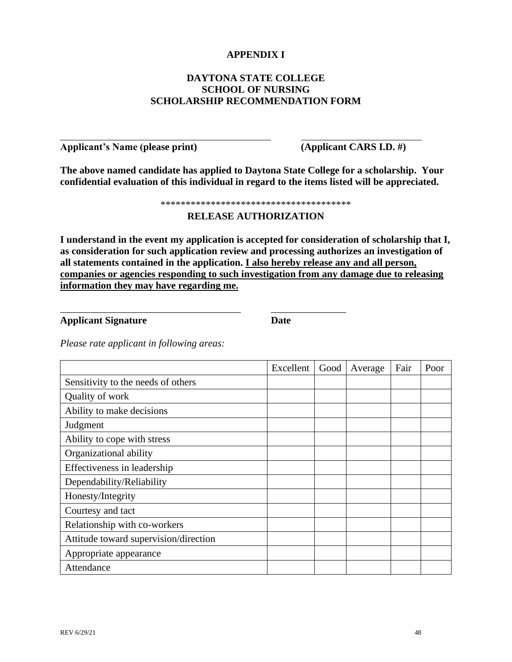# **APPENDIX I**

# **DAYTONA STATE COLLEGE SCHOOL OF NURSING SCHOLARSHIP RECOMMENDATION FORM**

<span id="page-48-0"></span>**Applicant's Name (please print) (Applicant CARS I.D. #)**

**The above named candidate has applied to Daytona State College for a scholarship. Your confidential evaluation of this individual in regard to the items listed will be appreciated.**

\*\*\*\*\*\*\*\*\*\*\*\*\*\*\*\*\*\*\*\*\*\*\*\*\*\*\*\*\*\*\*\*\*\*\*\*\*\*

### **RELEASE AUTHORIZATION**

**I understand in the event my application is accepted for consideration of scholarship that I, as consideration for such application review and processing authorizes an investigation of all statements contained in the application. I also hereby release any and all person, companies or agencies responding to such investigation from any damage due to releasing information they may have regarding me.**

**Applicant Signature Date**

\_\_\_\_\_\_\_\_\_\_\_\_\_\_\_\_\_\_\_\_\_\_\_\_\_\_\_\_\_\_\_\_\_\_\_\_ \_\_\_\_\_\_\_\_\_\_\_\_\_\_\_

*Please rate applicant in following areas:*

|                                       | Excellent | Good | Average | Fair | Poor |
|---------------------------------------|-----------|------|---------|------|------|
| Sensitivity to the needs of others    |           |      |         |      |      |
| Quality of work                       |           |      |         |      |      |
| Ability to make decisions             |           |      |         |      |      |
| Judgment                              |           |      |         |      |      |
| Ability to cope with stress           |           |      |         |      |      |
| Organizational ability                |           |      |         |      |      |
| Effectiveness in leadership           |           |      |         |      |      |
| Dependability/Reliability             |           |      |         |      |      |
| Honesty/Integrity                     |           |      |         |      |      |
| Courtesy and tact                     |           |      |         |      |      |
| Relationship with co-workers          |           |      |         |      |      |
| Attitude toward supervision/direction |           |      |         |      |      |
| Appropriate appearance                |           |      |         |      |      |
| Attendance                            |           |      |         |      |      |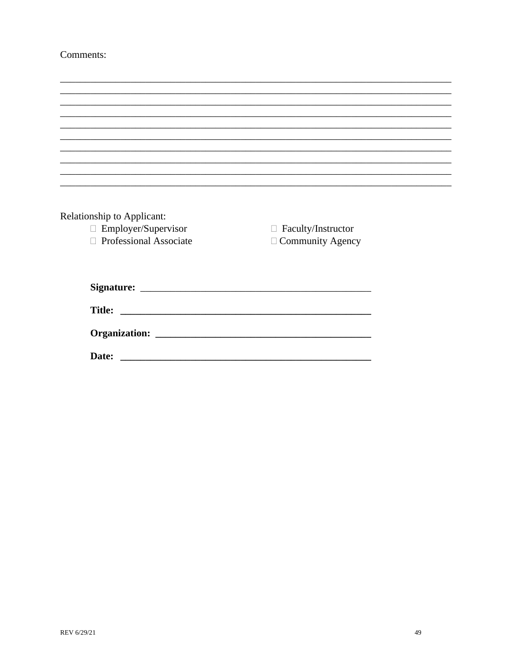# Comments:

| Relationship to Applicant: |                           |  |
|----------------------------|---------------------------|--|
| $\Box$ Employer/Supervisor | $\Box$ Faculty/Instructor |  |
| □ Professional Associate   | $\Box$ Community Agency   |  |
|                            |                           |  |
|                            |                           |  |
|                            |                           |  |
|                            |                           |  |
|                            |                           |  |
|                            |                           |  |
|                            |                           |  |
|                            |                           |  |
| Date:                      |                           |  |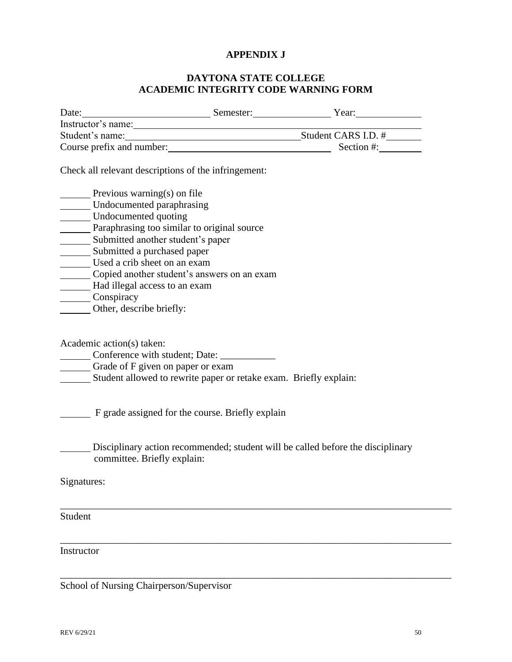### **APPENDIX J**

### **DAYTONA STATE COLLEGE ACADEMIC INTEGRITY CODE WARNING FORM**

| Date:                     | Semester: | Year:               |
|---------------------------|-----------|---------------------|
| Instructor's name:        |           |                     |
| Student's name:           |           | Student CARS I.D. # |
| Course prefix and number: |           | Section #:          |

Check all relevant descriptions of the infringement:

| Previous warning(s) on file                 |
|---------------------------------------------|
| Undocumented paraphrasing                   |
| Undocumented quoting                        |
| Paraphrasing too similar to original source |
| Submitted another student's paper           |
| Submitted a purchased paper                 |
| Used a crib sheet on an exam                |
| Copied another student's answers on an exam |
| Had illegal access to an exam               |
| Conspiracy                                  |
| Other, describe briefly:                    |

Academic action(s) taken:

Conference with student; Date: \_\_\_\_\_\_\_\_\_\_\_

Grade of F given on paper or exam

Student allowed to rewrite paper or retake exam. Briefly explain:

F grade assigned for the course. Briefly explain

Disciplinary action recommended; student will be called before the disciplinary committee. Briefly explain:

\_\_\_\_\_\_\_\_\_\_\_\_\_\_\_\_\_\_\_\_\_\_\_\_\_\_\_\_\_\_\_\_\_\_\_\_\_\_\_\_\_\_\_\_\_\_\_\_\_\_\_\_\_\_\_\_\_\_\_\_\_\_\_\_\_\_\_\_\_\_\_\_\_\_\_\_\_\_

\_\_\_\_\_\_\_\_\_\_\_\_\_\_\_\_\_\_\_\_\_\_\_\_\_\_\_\_\_\_\_\_\_\_\_\_\_\_\_\_\_\_\_\_\_\_\_\_\_\_\_\_\_\_\_\_\_\_\_\_\_\_\_\_\_\_\_\_\_\_\_\_\_\_\_\_\_\_

\_\_\_\_\_\_\_\_\_\_\_\_\_\_\_\_\_\_\_\_\_\_\_\_\_\_\_\_\_\_\_\_\_\_\_\_\_\_\_\_\_\_\_\_\_\_\_\_\_\_\_\_\_\_\_\_\_\_\_\_\_\_\_\_\_\_\_\_\_\_\_\_\_\_\_\_\_\_

Signatures:

Student

Instructor

School of Nursing Chairperson/Supervisor